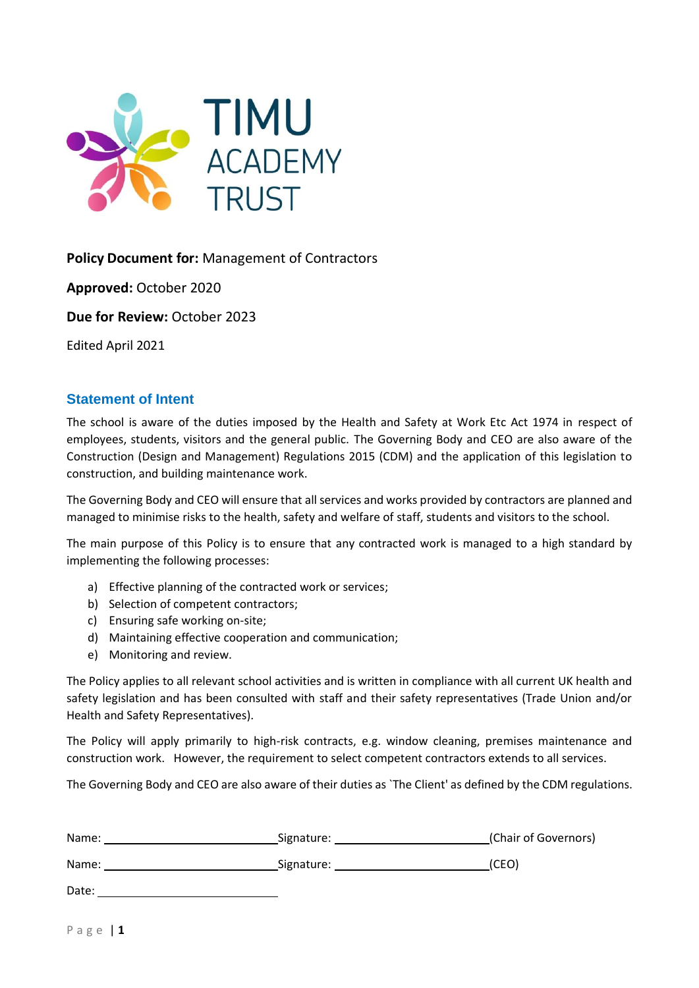

# **Policy Document for:** Management of Contractors

**Approved:** October 2020

**Due for Review:** October 2023

Edited April 2021

## <span id="page-0-0"></span>**Statement of Intent**

The school is aware of the duties imposed by the Health and Safety at Work Etc Act 1974 in respect of employees, students, visitors and the general public. The Governing Body and CEO are also aware of the Construction (Design and Management) Regulations 2015 (CDM) and the application of this legislation to construction, and building maintenance work.

The Governing Body and CEO will ensure that all services and works provided by contractors are planned and managed to minimise risks to the health, safety and welfare of staff, students and visitors to the school.

The main purpose of this Policy is to ensure that any contracted work is managed to a high standard by implementing the following processes:

- a) Effective planning of the contracted work or services;
- b) Selection of competent contractors;
- c) Ensuring safe working on-site;
- d) Maintaining effective cooperation and communication;
- e) Monitoring and review.

The Policy applies to all relevant school activities and is written in compliance with all current UK health and safety legislation and has been consulted with staff and their safety representatives (Trade Union and/or Health and Safety Representatives).

The Policy will apply primarily to high-risk contracts, e.g. window cleaning, premises maintenance and construction work. However, the requirement to select competent contractors extends to all services.

The Governing Body and CEO are also aware of their duties as `The Client' as defined by the CDM regulations.

| Name: | Signature: | (Chair of Governors) |
|-------|------------|----------------------|
| Name: | Signature: | (CEO)                |

Date: the contract of the contract of the contract of the contract of the contract of the contract of the contract of the contract of the contract of the contract of the contract of the contract of the contract of the cont

P a g e | **1**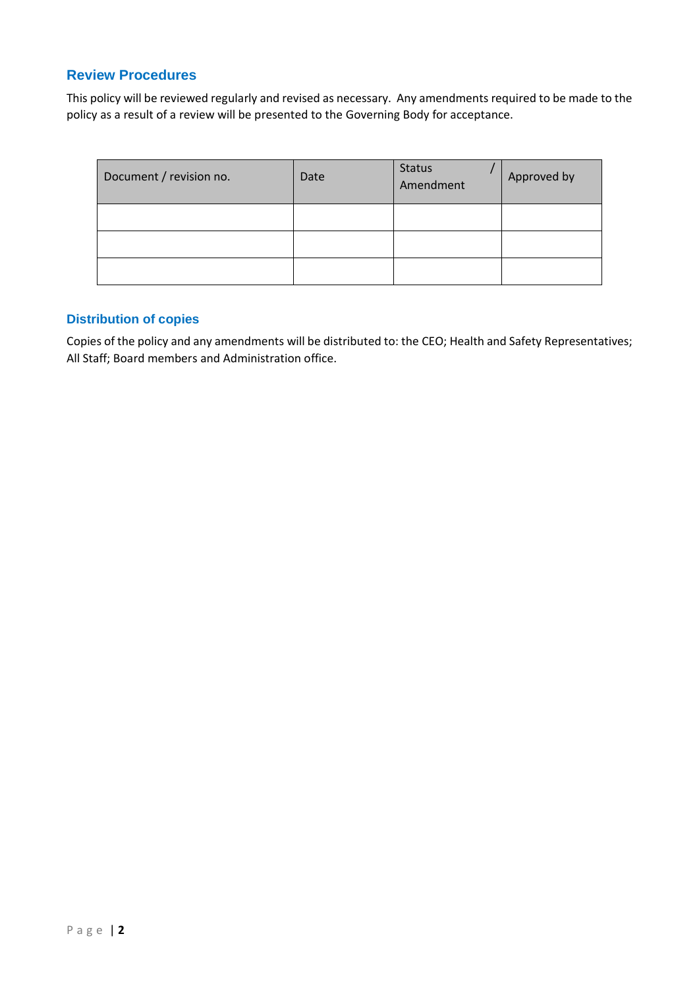## <span id="page-1-0"></span>**Review Procedures**

This policy will be reviewed regularly and revised as necessary. Any amendments required to be made to the policy as a result of a review will be presented to the Governing Body for acceptance.

| Document / revision no. | Date | <b>Status</b><br>Amendment | Approved by |
|-------------------------|------|----------------------------|-------------|
|                         |      |                            |             |
|                         |      |                            |             |
|                         |      |                            |             |

## <span id="page-1-1"></span>**Distribution of copies**

Copies of the policy and any amendments will be distributed to: the CEO; Health and Safety Representatives; All Staff; Board members and Administration office.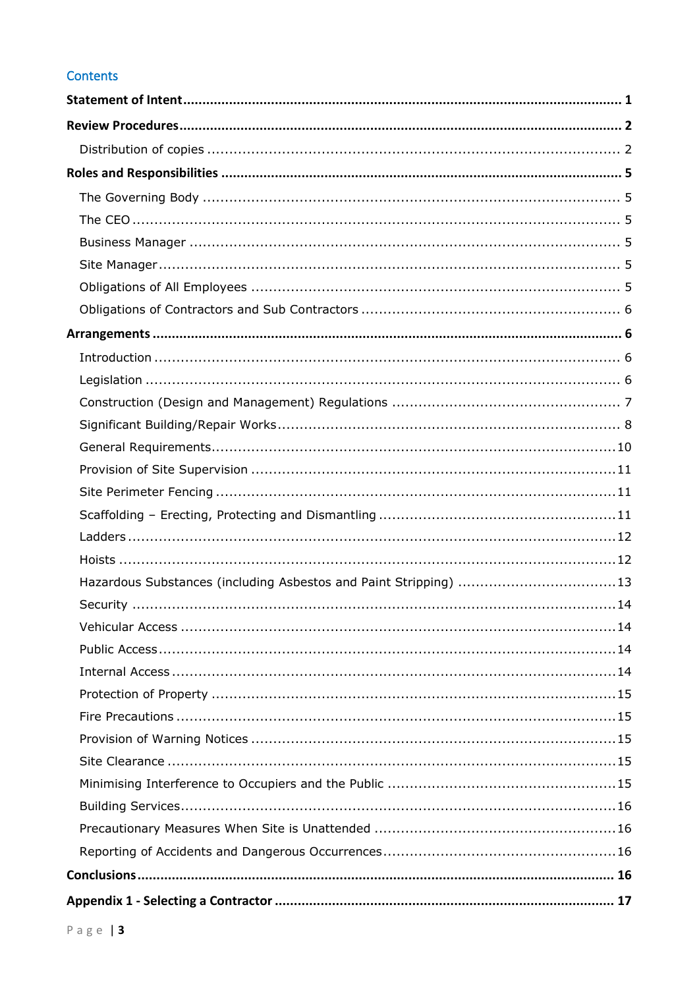# Contents

| Hazardous Substances (including Asbestos and Paint Stripping) 13 |
|------------------------------------------------------------------|
|                                                                  |
|                                                                  |
|                                                                  |
|                                                                  |
|                                                                  |
|                                                                  |
|                                                                  |
|                                                                  |
|                                                                  |
|                                                                  |
|                                                                  |
|                                                                  |
|                                                                  |
|                                                                  |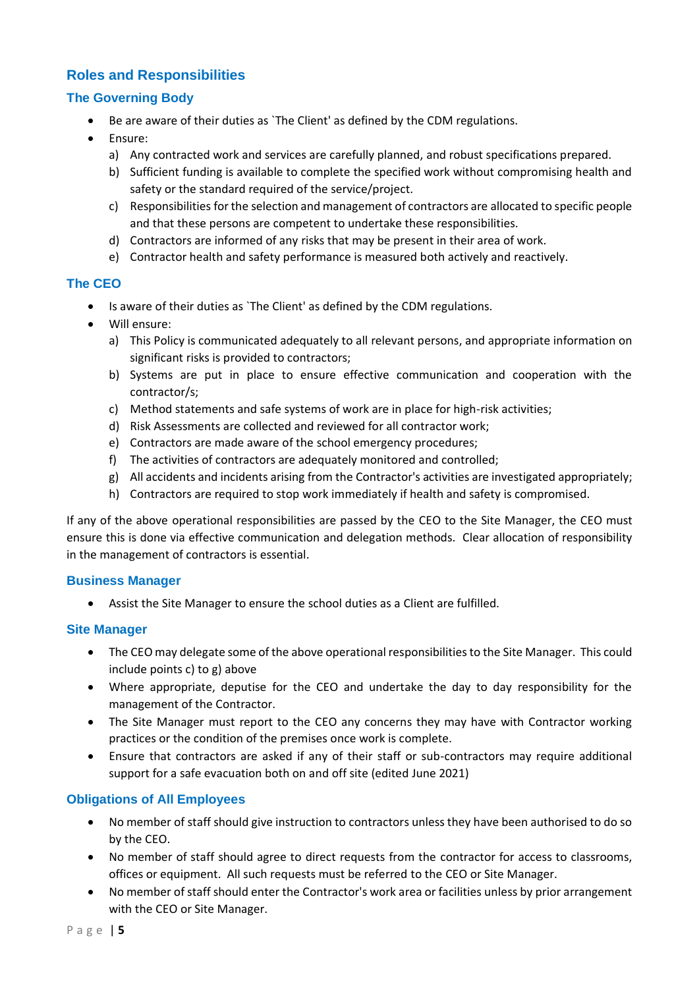# <span id="page-4-0"></span>**Roles and Responsibilities**

## <span id="page-4-1"></span>**The Governing Body**

- Be are aware of their duties as `The Client' as defined by the CDM regulations.
- Ensure:
	- a) Any contracted work and services are carefully planned, and robust specifications prepared.
	- b) Sufficient funding is available to complete the specified work without compromising health and safety or the standard required of the service/project.
	- c) Responsibilities for the selection and management of contractors are allocated to specific people and that these persons are competent to undertake these responsibilities.
	- d) Contractors are informed of any risks that may be present in their area of work.
	- e) Contractor health and safety performance is measured both actively and reactively.

#### <span id="page-4-2"></span>**The CEO**

- Is aware of their duties as `The Client' as defined by the CDM regulations.
- Will ensure:
	- a) This Policy is communicated adequately to all relevant persons, and appropriate information on significant risks is provided to contractors;
	- b) Systems are put in place to ensure effective communication and cooperation with the contractor/s;
	- c) Method statements and safe systems of work are in place for high-risk activities;
	- d) Risk Assessments are collected and reviewed for all contractor work;
	- e) Contractors are made aware of the school emergency procedures;
	- f) The activities of contractors are adequately monitored and controlled;
	- g) All accidents and incidents arising from the Contractor's activities are investigated appropriately;
	- h) Contractors are required to stop work immediately if health and safety is compromised.

If any of the above operational responsibilities are passed by the CEO to the Site Manager, the CEO must ensure this is done via effective communication and delegation methods. Clear allocation of responsibility in the management of contractors is essential.

#### <span id="page-4-3"></span>**Business Manager**

• Assist the Site Manager to ensure the school duties as a Client are fulfilled.

#### <span id="page-4-4"></span>**Site Manager**

- The CEO may delegate some of the above operational responsibilities to the Site Manager. This could include points c) to g) above
- Where appropriate, deputise for the CEO and undertake the day to day responsibility for the management of the Contractor.
- The Site Manager must report to the CEO any concerns they may have with Contractor working practices or the condition of the premises once work is complete.
- Ensure that contractors are asked if any of their staff or sub-contractors may require additional support for a safe evacuation both on and off site (edited June 2021)

## <span id="page-4-5"></span>**Obligations of All Employees**

- No member of staff should give instruction to contractors unless they have been authorised to do so by the CEO.
- No member of staff should agree to direct requests from the contractor for access to classrooms, offices or equipment. All such requests must be referred to the CEO or Site Manager.
- No member of staff should enter the Contractor's work area or facilities unless by prior arrangement with the CEO or Site Manager.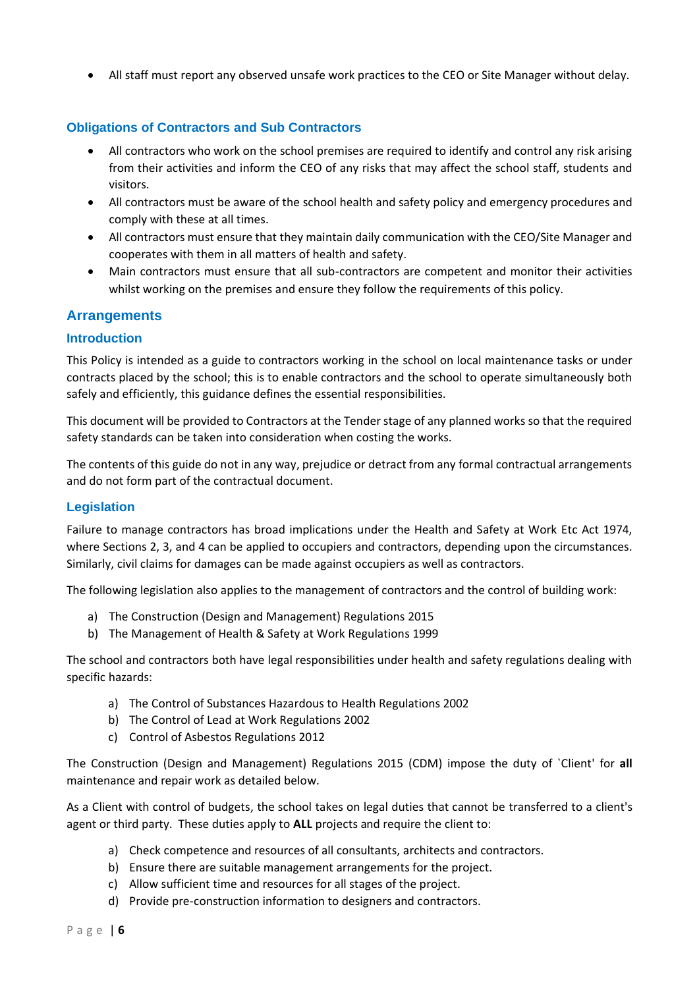• All staff must report any observed unsafe work practices to the CEO or Site Manager without delay.

## <span id="page-5-0"></span>**Obligations of Contractors and Sub Contractors**

- All contractors who work on the school premises are required to identify and control any risk arising from their activities and inform the CEO of any risks that may affect the school staff, students and visitors.
- All contractors must be aware of the school health and safety policy and emergency procedures and comply with these at all times.
- All contractors must ensure that they maintain daily communication with the CEO/Site Manager and cooperates with them in all matters of health and safety.
- Main contractors must ensure that all sub-contractors are competent and monitor their activities whilst working on the premises and ensure they follow the requirements of this policy.

## <span id="page-5-1"></span>**Arrangements**

#### <span id="page-5-2"></span>**Introduction**

This Policy is intended as a guide to contractors working in the school on local maintenance tasks or under contracts placed by the school; this is to enable contractors and the school to operate simultaneously both safely and efficiently, this guidance defines the essential responsibilities.

This document will be provided to Contractors at the Tender stage of any planned works so that the required safety standards can be taken into consideration when costing the works.

The contents of this guide do not in any way, prejudice or detract from any formal contractual arrangements and do not form part of the contractual document.

## <span id="page-5-3"></span>**Legislation**

Failure to manage contractors has broad implications under the Health and Safety at Work Etc Act 1974, where Sections 2, 3, and 4 can be applied to occupiers and contractors, depending upon the circumstances. Similarly, civil claims for damages can be made against occupiers as well as contractors.

The following legislation also applies to the management of contractors and the control of building work:

- a) The Construction (Design and Management) Regulations 2015
- b) The Management of Health & Safety at Work Regulations 1999

The school and contractors both have legal responsibilities under health and safety regulations dealing with specific hazards:

- a) The Control of Substances Hazardous to Health Regulations 2002
- b) The Control of Lead at Work Regulations 2002
- c) Control of Asbestos Regulations 2012

The Construction (Design and Management) Regulations 2015 (CDM) impose the duty of `Client' for **all**  maintenance and repair work as detailed below.

As a Client with control of budgets, the school takes on legal duties that cannot be transferred to a client's agent or third party. These duties apply to **ALL** projects and require the client to:

- a) Check competence and resources of all consultants, architects and contractors.
- b) Ensure there are suitable management arrangements for the project.
- c) Allow sufficient time and resources for all stages of the project.
- d) Provide pre-construction information to designers and contractors.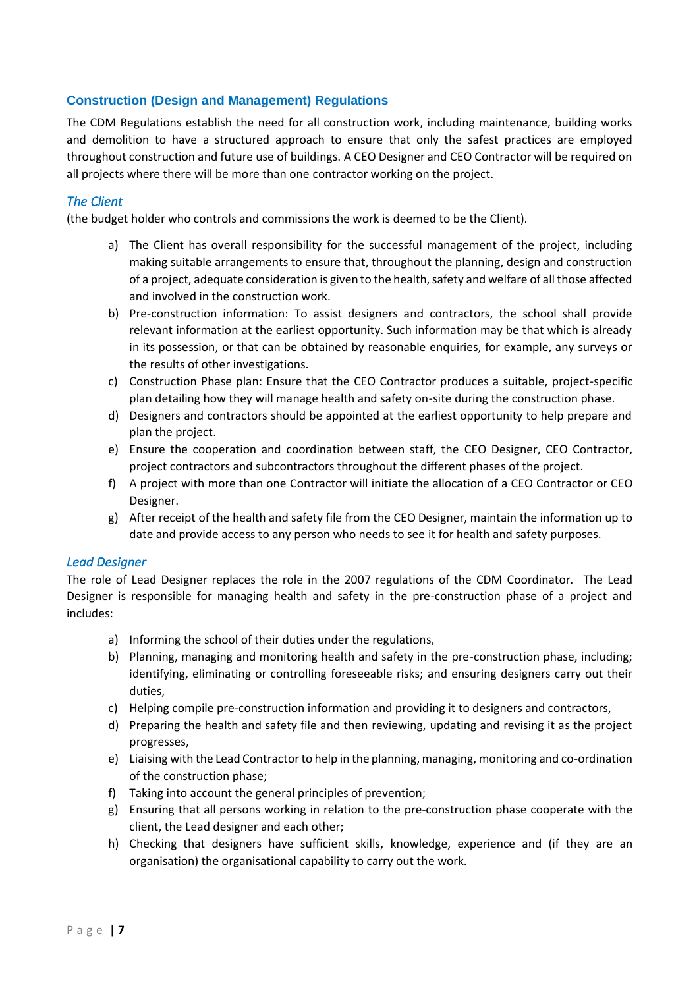## <span id="page-6-0"></span>**Construction (Design and Management) Regulations**

The CDM Regulations establish the need for all construction work, including maintenance, building works and demolition to have a structured approach to ensure that only the safest practices are employed throughout construction and future use of buildings. A CEO Designer and CEO Contractor will be required on all projects where there will be more than one contractor working on the project.

## *The Client*

(the budget holder who controls and commissions the work is deemed to be the Client).

- a) The Client has overall responsibility for the successful management of the project, including making suitable arrangements to ensure that, throughout the planning, design and construction of a project, adequate consideration is given to the health, safety and welfare of all those affected and involved in the construction work.
- b) Pre-construction information: To assist designers and contractors, the school shall provide relevant information at the earliest opportunity. Such information may be that which is already in its possession, or that can be obtained by reasonable enquiries, for example, any surveys or the results of other investigations.
- c) Construction Phase plan: Ensure that the CEO Contractor produces a suitable, project-specific plan detailing how they will manage health and safety on-site during the construction phase.
- d) Designers and contractors should be appointed at the earliest opportunity to help prepare and plan the project.
- e) Ensure the cooperation and coordination between staff, the CEO Designer, CEO Contractor, project contractors and subcontractors throughout the different phases of the project.
- f) A project with more than one Contractor will initiate the allocation of a CEO Contractor or CEO Designer.
- g) After receipt of the health and safety file from the CEO Designer, maintain the information up to date and provide access to any person who needs to see it for health and safety purposes.

#### *Lead Designer*

The role of Lead Designer replaces the role in the 2007 regulations of the CDM Coordinator. The Lead Designer is responsible for managing health and safety in the pre-construction phase of a project and includes:

- a) Informing the school of their duties under the regulations,
- b) Planning, managing and monitoring health and safety in the pre-construction phase, including; identifying, eliminating or controlling foreseeable risks; and ensuring designers carry out their duties,
- c) Helping compile pre-construction information and providing it to designers and contractors,
- d) Preparing the health and safety file and then reviewing, updating and revising it as the project progresses,
- e) Liaising with the Lead Contractor to help in the planning, managing, monitoring and co-ordination of the construction phase;
- f) Taking into account the general principles of prevention;
- g) Ensuring that all persons working in relation to the pre-construction phase cooperate with the client, the Lead designer and each other;
- h) Checking that designers have sufficient skills, knowledge, experience and (if they are an organisation) the organisational capability to carry out the work.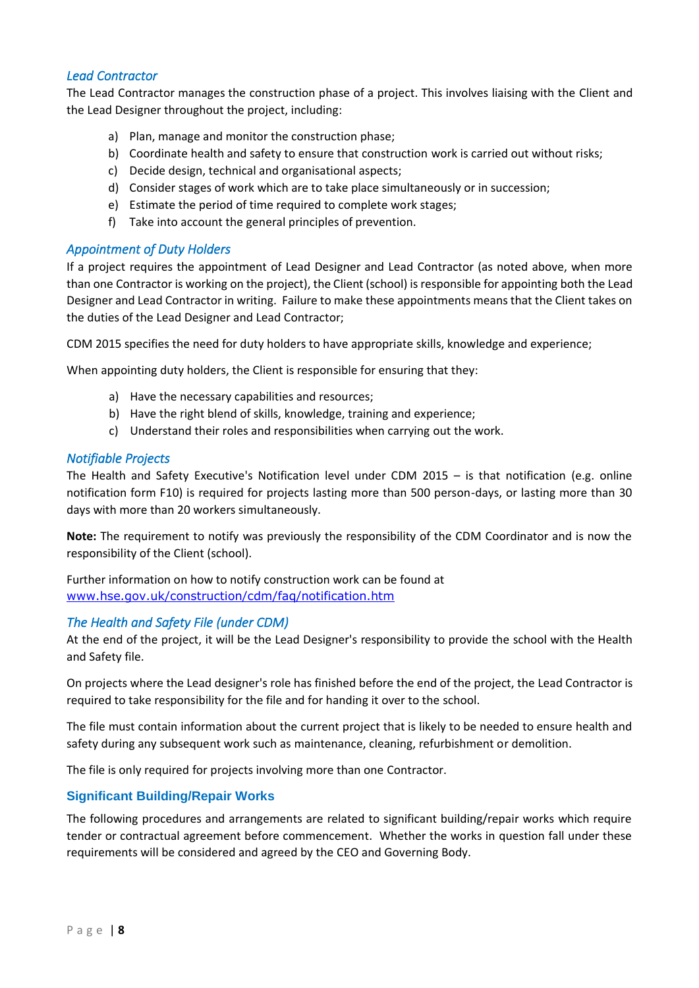## *Lead Contractor*

The Lead Contractor manages the construction phase of a project. This involves liaising with the Client and the Lead Designer throughout the project, including:

- a) Plan, manage and monitor the construction phase;
- b) Coordinate health and safety to ensure that construction work is carried out without risks;
- c) Decide design, technical and organisational aspects;
- d) Consider stages of work which are to take place simultaneously or in succession;
- e) Estimate the period of time required to complete work stages;
- f) Take into account the general principles of prevention.

#### *Appointment of Duty Holders*

If a project requires the appointment of Lead Designer and Lead Contractor (as noted above, when more than one Contractor is working on the project), the Client (school) is responsible for appointing both the Lead Designer and Lead Contractor in writing. Failure to make these appointments means that the Client takes on the duties of the Lead Designer and Lead Contractor;

CDM 2015 specifies the need for duty holders to have appropriate skills, knowledge and experience;

When appointing duty holders, the Client is responsible for ensuring that they:

- a) Have the necessary capabilities and resources;
- b) Have the right blend of skills, knowledge, training and experience;
- c) Understand their roles and responsibilities when carrying out the work.

#### *Notifiable Projects*

The Health and Safety Executive's Notification level under CDM 2015 – is that notification (e.g. online notification form F10) is required for projects lasting more than 500 person-days, or lasting more than 30 days with more than 20 workers simultaneously.

**Note:** The requirement to notify was previously the responsibility of the CDM Coordinator and is now the responsibility of the Client (school).

Further information on how to notify construction work can be found at [www.hse.gov.uk/construction/cdm/faq/notification.htm](http://www.hse.gov.uk/construction/cdm/faq/notification.htm)

## *The Health and Safety File (under CDM)*

At the end of the project, it will be the Lead Designer's responsibility to provide the school with the Health and Safety file.

On projects where the Lead designer's role has finished before the end of the project, the Lead Contractor is required to take responsibility for the file and for handing it over to the school.

The file must contain information about the current project that is likely to be needed to ensure health and safety during any subsequent work such as maintenance, cleaning, refurbishment or demolition.

The file is only required for projects involving more than one Contractor.

## <span id="page-7-0"></span>**Significant Building/Repair Works**

The following procedures and arrangements are related to significant building/repair works which require tender or contractual agreement before commencement. Whether the works in question fall under these requirements will be considered and agreed by the CEO and Governing Body.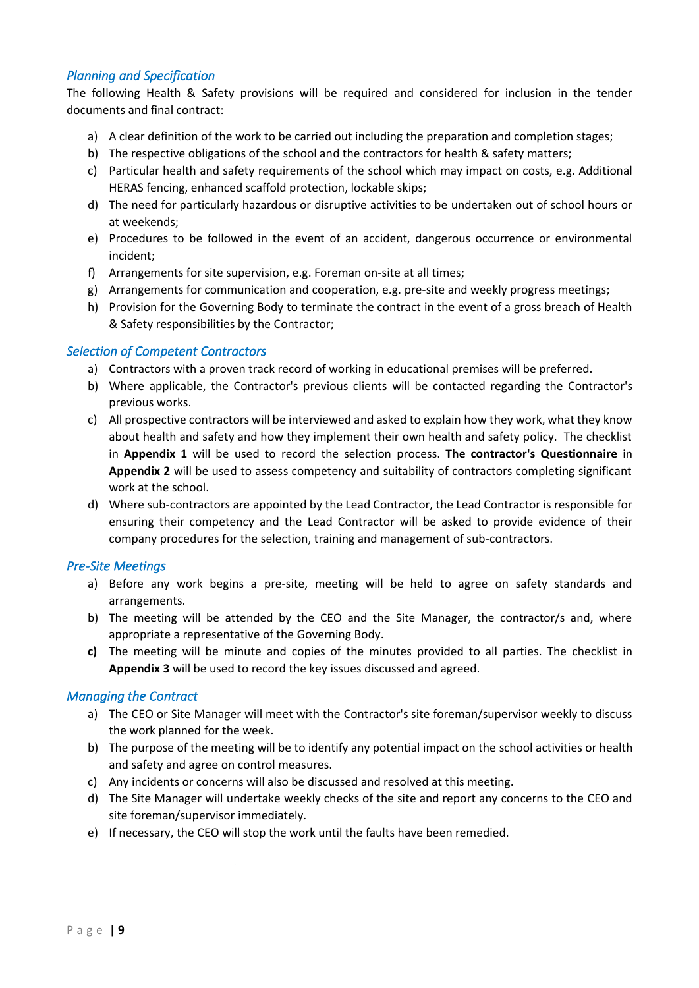## *Planning and Specification*

The following Health & Safety provisions will be required and considered for inclusion in the tender documents and final contract:

- a) A clear definition of the work to be carried out including the preparation and completion stages;
- b) The respective obligations of the school and the contractors for health & safety matters;
- c) Particular health and safety requirements of the school which may impact on costs, e.g. Additional HERAS fencing, enhanced scaffold protection, lockable skips;
- d) The need for particularly hazardous or disruptive activities to be undertaken out of school hours or at weekends;
- e) Procedures to be followed in the event of an accident, dangerous occurrence or environmental incident;
- f) Arrangements for site supervision, e.g. Foreman on-site at all times;
- g) Arrangements for communication and cooperation, e.g. pre-site and weekly progress meetings;
- h) Provision for the Governing Body to terminate the contract in the event of a gross breach of Health & Safety responsibilities by the Contractor;

#### *Selection of Competent Contractors*

- a) Contractors with a proven track record of working in educational premises will be preferred.
- b) Where applicable, the Contractor's previous clients will be contacted regarding the Contractor's previous works.
- c) All prospective contractors will be interviewed and asked to explain how they work, what they know about health and safety and how they implement their own health and safety policy. The checklist in **Appendix 1** will be used to record the selection process. **The contractor's Questionnaire** in **Appendix 2** will be used to assess competency and suitability of contractors completing significant work at the school.
- d) Where sub-contractors are appointed by the Lead Contractor, the Lead Contractor is responsible for ensuring their competency and the Lead Contractor will be asked to provide evidence of their company procedures for the selection, training and management of sub-contractors.

## *Pre-Site Meetings*

- a) Before any work begins a pre-site, meeting will be held to agree on safety standards and arrangements.
- b) The meeting will be attended by the CEO and the Site Manager, the contractor/s and, where appropriate a representative of the Governing Body.
- **c)** The meeting will be minute and copies of the minutes provided to all parties. The checklist in **Appendix 3** will be used to record the key issues discussed and agreed.

## *Managing the Contract*

- a) The CEO or Site Manager will meet with the Contractor's site foreman/supervisor weekly to discuss the work planned for the week.
- b) The purpose of the meeting will be to identify any potential impact on the school activities or health and safety and agree on control measures.
- c) Any incidents or concerns will also be discussed and resolved at this meeting.
- d) The Site Manager will undertake weekly checks of the site and report any concerns to the CEO and site foreman/supervisor immediately.
- e) If necessary, the CEO will stop the work until the faults have been remedied.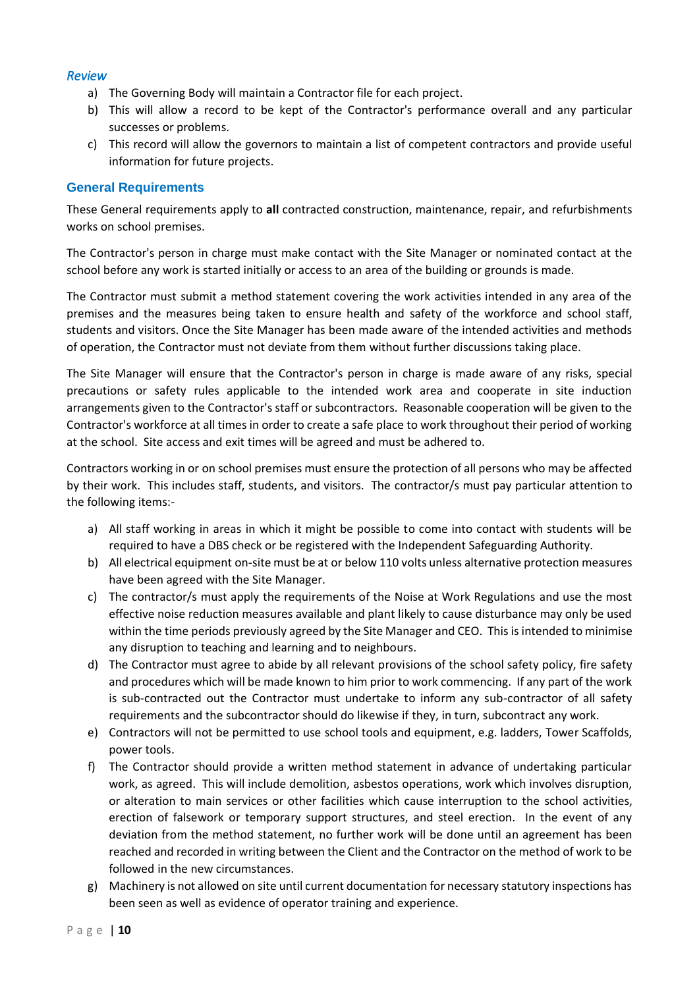## *Review*

- a) The Governing Body will maintain a Contractor file for each project.
- b) This will allow a record to be kept of the Contractor's performance overall and any particular successes or problems.
- c) This record will allow the governors to maintain a list of competent contractors and provide useful information for future projects.

#### <span id="page-9-0"></span>**General Requirements**

These General requirements apply to **all** contracted construction, maintenance, repair, and refurbishments works on school premises.

The Contractor's person in charge must make contact with the Site Manager or nominated contact at the school before any work is started initially or access to an area of the building or grounds is made.

The Contractor must submit a method statement covering the work activities intended in any area of the premises and the measures being taken to ensure health and safety of the workforce and school staff, students and visitors. Once the Site Manager has been made aware of the intended activities and methods of operation, the Contractor must not deviate from them without further discussions taking place.

The Site Manager will ensure that the Contractor's person in charge is made aware of any risks, special precautions or safety rules applicable to the intended work area and cooperate in site induction arrangements given to the Contractor's staff or subcontractors. Reasonable cooperation will be given to the Contractor's workforce at all times in order to create a safe place to work throughout their period of working at the school. Site access and exit times will be agreed and must be adhered to.

Contractors working in or on school premises must ensure the protection of all persons who may be affected by their work. This includes staff, students, and visitors. The contractor/s must pay particular attention to the following items:-

- a) All staff working in areas in which it might be possible to come into contact with students will be required to have a DBS check or be registered with the Independent Safeguarding Authority.
- b) All electrical equipment on-site must be at or below 110 volts unless alternative protection measures have been agreed with the Site Manager.
- c) The contractor/s must apply the requirements of the Noise at Work Regulations and use the most effective noise reduction measures available and plant likely to cause disturbance may only be used within the time periods previously agreed by the Site Manager and CEO. This is intended to minimise any disruption to teaching and learning and to neighbours.
- d) The Contractor must agree to abide by all relevant provisions of the school safety policy, fire safety and procedures which will be made known to him prior to work commencing. If any part of the work is sub-contracted out the Contractor must undertake to inform any sub-contractor of all safety requirements and the subcontractor should do likewise if they, in turn, subcontract any work.
- e) Contractors will not be permitted to use school tools and equipment, e.g. ladders, Tower Scaffolds, power tools.
- f) The Contractor should provide a written method statement in advance of undertaking particular work, as agreed. This will include demolition, asbestos operations, work which involves disruption, or alteration to main services or other facilities which cause interruption to the school activities, erection of falsework or temporary support structures, and steel erection. In the event of any deviation from the method statement, no further work will be done until an agreement has been reached and recorded in writing between the Client and the Contractor on the method of work to be followed in the new circumstances.
- g) Machinery is not allowed on site until current documentation for necessary statutory inspections has been seen as well as evidence of operator training and experience.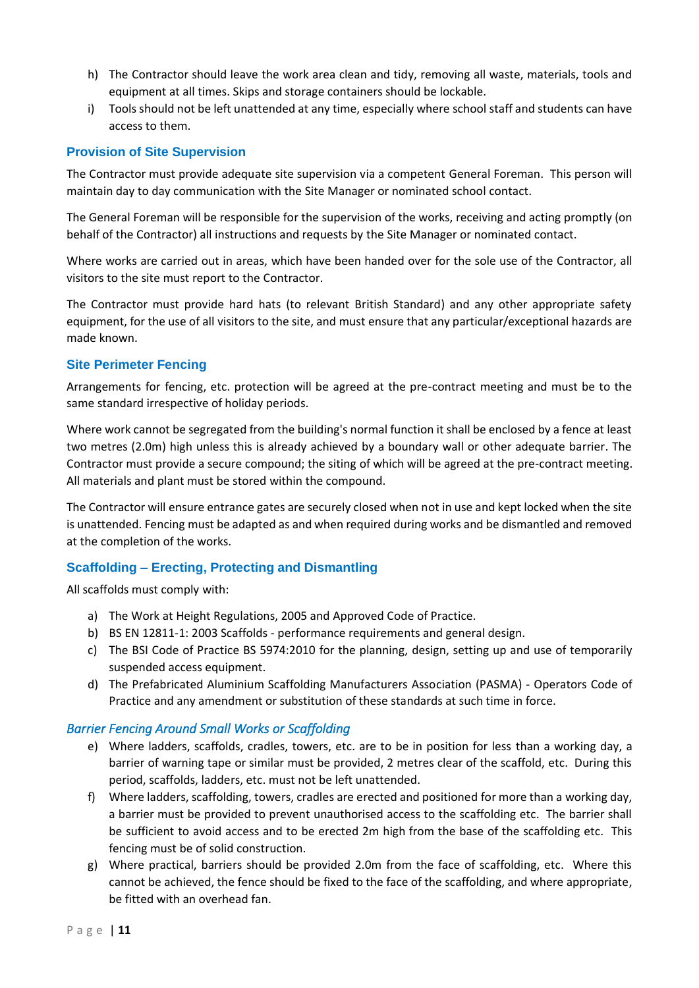- h) The Contractor should leave the work area clean and tidy, removing all waste, materials, tools and equipment at all times. Skips and storage containers should be lockable.
- i) Tools should not be left unattended at any time, especially where school staff and students can have access to them.

## <span id="page-10-0"></span>**Provision of Site Supervision**

The Contractor must provide adequate site supervision via a competent General Foreman. This person will maintain day to day communication with the Site Manager or nominated school contact.

The General Foreman will be responsible for the supervision of the works, receiving and acting promptly (on behalf of the Contractor) all instructions and requests by the Site Manager or nominated contact.

Where works are carried out in areas, which have been handed over for the sole use of the Contractor, all visitors to the site must report to the Contractor.

The Contractor must provide hard hats (to relevant British Standard) and any other appropriate safety equipment, for the use of all visitors to the site, and must ensure that any particular/exceptional hazards are made known.

## <span id="page-10-1"></span>**Site Perimeter Fencing**

Arrangements for fencing, etc. protection will be agreed at the pre-contract meeting and must be to the same standard irrespective of holiday periods.

Where work cannot be segregated from the building's normal function it shall be enclosed by a fence at least two metres (2.0m) high unless this is already achieved by a boundary wall or other adequate barrier. The Contractor must provide a secure compound; the siting of which will be agreed at the pre-contract meeting. All materials and plant must be stored within the compound.

The Contractor will ensure entrance gates are securely closed when not in use and kept locked when the site is unattended. Fencing must be adapted as and when required during works and be dismantled and removed at the completion of the works.

## <span id="page-10-2"></span>**Scaffolding – Erecting, Protecting and Dismantling**

All scaffolds must comply with:

- a) The Work at Height Regulations, 2005 and Approved Code of Practice.
- b) BS EN 12811-1: 2003 Scaffolds performance requirements and general design.
- c) The BSI Code of Practice BS 5974:2010 for the planning, design, setting up and use of temporarily suspended access equipment.
- d) The Prefabricated Aluminium Scaffolding Manufacturers Association (PASMA) Operators Code of Practice and any amendment or substitution of these standards at such time in force.

## *Barrier Fencing Around Small Works or Scaffolding*

- e) Where ladders, scaffolds, cradles, towers, etc. are to be in position for less than a working day, a barrier of warning tape or similar must be provided, 2 metres clear of the scaffold, etc. During this period, scaffolds, ladders, etc. must not be left unattended.
- f) Where ladders, scaffolding, towers, cradles are erected and positioned for more than a working day, a barrier must be provided to prevent unauthorised access to the scaffolding etc. The barrier shall be sufficient to avoid access and to be erected 2m high from the base of the scaffolding etc. This fencing must be of solid construction.
- g) Where practical, barriers should be provided 2.0m from the face of scaffolding, etc. Where this cannot be achieved, the fence should be fixed to the face of the scaffolding, and where appropriate, be fitted with an overhead fan.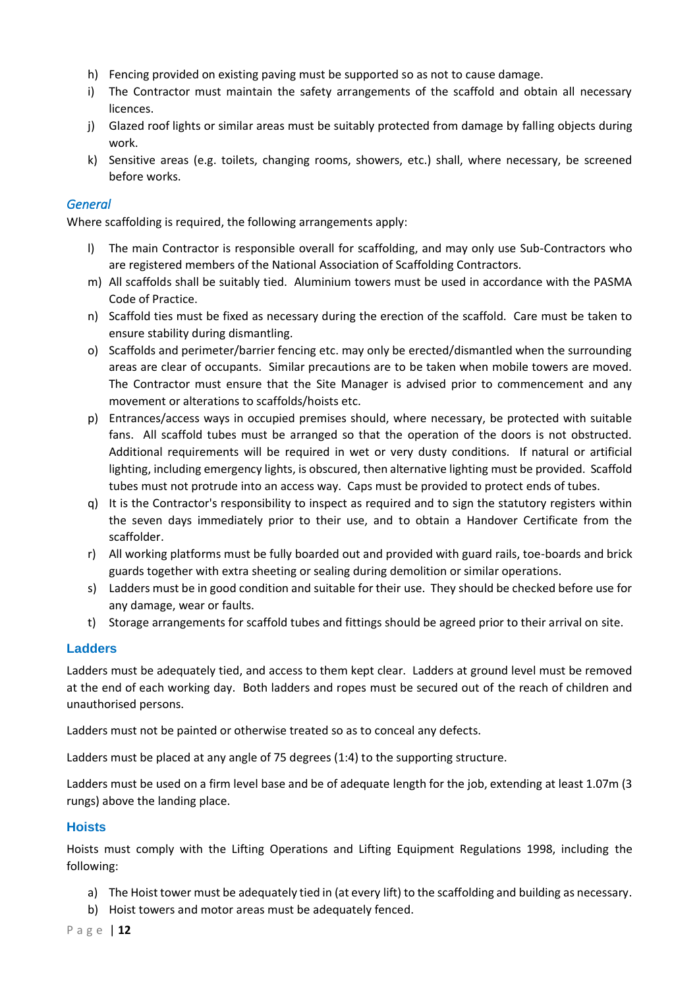- h) Fencing provided on existing paving must be supported so as not to cause damage.
- i) The Contractor must maintain the safety arrangements of the scaffold and obtain all necessary licences.
- j) Glazed roof lights or similar areas must be suitably protected from damage by falling objects during work.
- k) Sensitive areas (e.g. toilets, changing rooms, showers, etc.) shall, where necessary, be screened before works.

## *General*

Where scaffolding is required, the following arrangements apply:

- l) The main Contractor is responsible overall for scaffolding, and may only use Sub-Contractors who are registered members of the National Association of Scaffolding Contractors.
- m) All scaffolds shall be suitably tied. Aluminium towers must be used in accordance with the PASMA Code of Practice.
- n) Scaffold ties must be fixed as necessary during the erection of the scaffold. Care must be taken to ensure stability during dismantling.
- o) Scaffolds and perimeter/barrier fencing etc. may only be erected/dismantled when the surrounding areas are clear of occupants. Similar precautions are to be taken when mobile towers are moved. The Contractor must ensure that the Site Manager is advised prior to commencement and any movement or alterations to scaffolds/hoists etc.
- p) Entrances/access ways in occupied premises should, where necessary, be protected with suitable fans. All scaffold tubes must be arranged so that the operation of the doors is not obstructed. Additional requirements will be required in wet or very dusty conditions. If natural or artificial lighting, including emergency lights, is obscured, then alternative lighting must be provided. Scaffold tubes must not protrude into an access way. Caps must be provided to protect ends of tubes.
- q) It is the Contractor's responsibility to inspect as required and to sign the statutory registers within the seven days immediately prior to their use, and to obtain a Handover Certificate from the scaffolder.
- r) All working platforms must be fully boarded out and provided with guard rails, toe-boards and brick guards together with extra sheeting or sealing during demolition or similar operations.
- s) Ladders must be in good condition and suitable for their use. They should be checked before use for any damage, wear or faults.
- t) Storage arrangements for scaffold tubes and fittings should be agreed prior to their arrival on site.

## <span id="page-11-0"></span>**Ladders**

Ladders must be adequately tied, and access to them kept clear. Ladders at ground level must be removed at the end of each working day. Both ladders and ropes must be secured out of the reach of children and unauthorised persons.

Ladders must not be painted or otherwise treated so as to conceal any defects.

Ladders must be placed at any angle of 75 degrees (1:4) to the supporting structure.

Ladders must be used on a firm level base and be of adequate length for the job, extending at least 1.07m (3 rungs) above the landing place.

## <span id="page-11-1"></span>**Hoists**

Hoists must comply with the Lifting Operations and Lifting Equipment Regulations 1998, including the following:

- a) The Hoist tower must be adequately tied in (at every lift) to the scaffolding and building as necessary.
- b) Hoist towers and motor areas must be adequately fenced.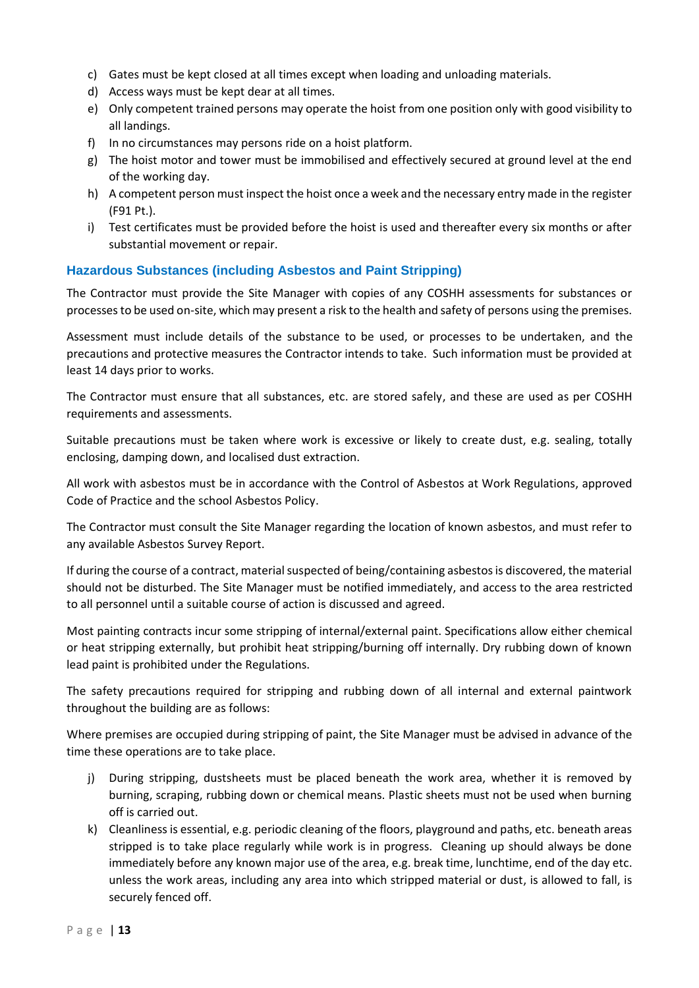- c) Gates must be kept closed at all times except when loading and unloading materials.
- d) Access ways must be kept dear at all times.
- e) Only competent trained persons may operate the hoist from one position only with good visibility to all landings.
- f) In no circumstances may persons ride on a hoist platform.
- g) The hoist motor and tower must be immobilised and effectively secured at ground level at the end of the working day.
- h) A competent person must inspect the hoist once a week and the necessary entry made in the register (F91 Pt.).
- i) Test certificates must be provided before the hoist is used and thereafter every six months or after substantial movement or repair.

## <span id="page-12-0"></span>**Hazardous Substances (including Asbestos and Paint Stripping)**

The Contractor must provide the Site Manager with copies of any COSHH assessments for substances or processes to be used on-site, which may present a risk to the health and safety of persons using the premises.

Assessment must include details of the substance to be used, or processes to be undertaken, and the precautions and protective measures the Contractor intends to take. Such information must be provided at least 14 days prior to works.

The Contractor must ensure that all substances, etc. are stored safely, and these are used as per COSHH requirements and assessments.

Suitable precautions must be taken where work is excessive or likely to create dust, e.g. sealing, totally enclosing, damping down, and localised dust extraction.

All work with asbestos must be in accordance with the Control of Asbestos at Work Regulations, approved Code of Practice and the school Asbestos Policy.

The Contractor must consult the Site Manager regarding the location of known asbestos, and must refer to any available Asbestos Survey Report.

If during the course of a contract, material suspected of being/containing asbestos is discovered, the material should not be disturbed. The Site Manager must be notified immediately, and access to the area restricted to all personnel until a suitable course of action is discussed and agreed.

Most painting contracts incur some stripping of internal/external paint. Specifications allow either chemical or heat stripping externally, but prohibit heat stripping/burning off internally. Dry rubbing down of known lead paint is prohibited under the Regulations.

The safety precautions required for stripping and rubbing down of all internal and external paintwork throughout the building are as follows:

Where premises are occupied during stripping of paint, the Site Manager must be advised in advance of the time these operations are to take place.

- j) During stripping, dustsheets must be placed beneath the work area, whether it is removed by burning, scraping, rubbing down or chemical means. Plastic sheets must not be used when burning off is carried out.
- k) Cleanliness is essential, e.g. periodic cleaning of the floors, playground and paths, etc. beneath areas stripped is to take place regularly while work is in progress. Cleaning up should always be done immediately before any known major use of the area, e.g. break time, lunchtime, end of the day etc. unless the work areas, including any area into which stripped material or dust, is allowed to fall, is securely fenced off.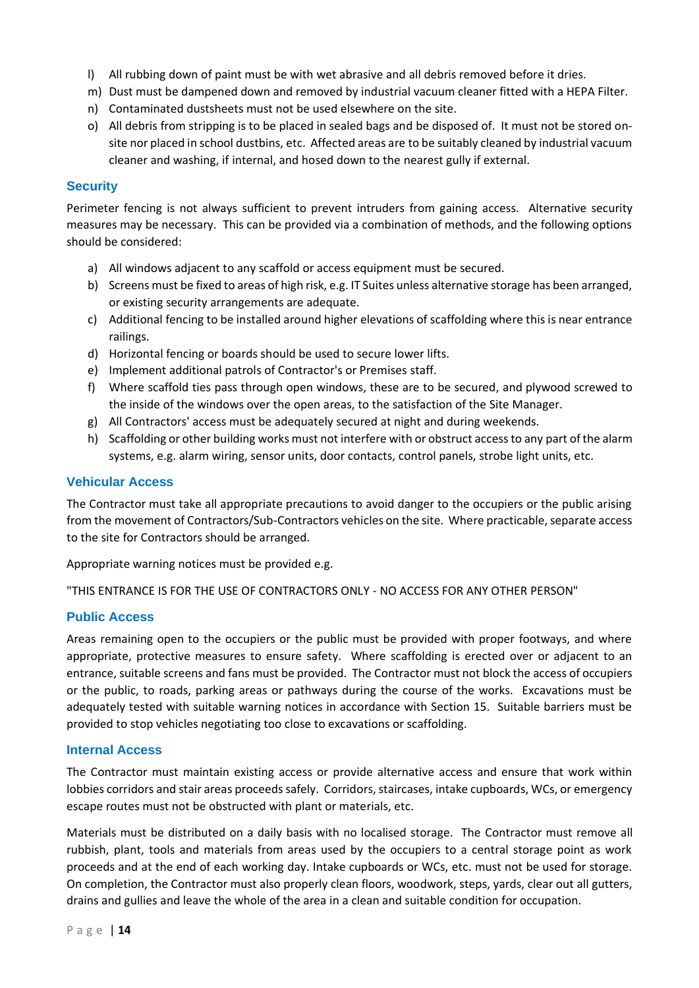- l) All rubbing down of paint must be with wet abrasive and all debris removed before it dries.
- m) Dust must be dampened down and removed by industrial vacuum cleaner fitted with a HEPA Filter.
- n) Contaminated dustsheets must not be used elsewhere on the site.
- o) All debris from stripping is to be placed in sealed bags and be disposed of. It must not be stored onsite nor placed in school dustbins, etc. Affected areas are to be suitably cleaned by industrial vacuum cleaner and washing, if internal, and hosed down to the nearest gully if external.

#### <span id="page-13-0"></span>**Security**

Perimeter fencing is not always sufficient to prevent intruders from gaining access. Alternative security measures may be necessary. This can be provided via a combination of methods, and the following options should be considered:

- a) All windows adjacent to any scaffold or access equipment must be secured.
- b) Screens must be fixed to areas of high risk, e.g. IT Suites unless alternative storage has been arranged, or existing security arrangements are adequate.
- c) Additional fencing to be installed around higher elevations of scaffolding where this is near entrance railings.
- d) Horizontal fencing or boards should be used to secure lower lifts.
- e) Implement additional patrols of Contractor's or Premises staff.
- f) Where scaffold ties pass through open windows, these are to be secured, and plywood screwed to the inside of the windows over the open areas, to the satisfaction of the Site Manager.
- g) All Contractors' access must be adequately secured at night and during weekends.
- h) Scaffolding or other building works must not interfere with or obstruct access to any part of the alarm systems, e.g. alarm wiring, sensor units, door contacts, control panels, strobe light units, etc.

#### <span id="page-13-1"></span>**Vehicular Access**

The Contractor must take all appropriate precautions to avoid danger to the occupiers or the public arising from the movement of Contractors/Sub-Contractors vehicles on the site. Where practicable, separate access to the site for Contractors should be arranged.

Appropriate warning notices must be provided e.g.

"THIS ENTRANCE IS FOR THE USE OF CONTRACTORS ONLY - NO ACCESS FOR ANY OTHER PERSON"

## <span id="page-13-2"></span>**Public Access**

Areas remaining open to the occupiers or the public must be provided with proper footways, and where appropriate, protective measures to ensure safety. Where scaffolding is erected over or adjacent to an entrance, suitable screens and fans must be provided. The Contractor must not block the access of occupiers or the public, to roads, parking areas or pathways during the course of the works. Excavations must be adequately tested with suitable warning notices in accordance with Section 15. Suitable barriers must be provided to stop vehicles negotiating too close to excavations or scaffolding.

#### <span id="page-13-3"></span>**Internal Access**

The Contractor must maintain existing access or provide alternative access and ensure that work within lobbies corridors and stair areas proceeds safely. Corridors, staircases, intake cupboards, WCs, or emergency escape routes must not be obstructed with plant or materials, etc.

Materials must be distributed on a daily basis with no localised storage. The Contractor must remove all rubbish, plant, tools and materials from areas used by the occupiers to a central storage point as work proceeds and at the end of each working day. Intake cupboards or WCs, etc. must not be used for storage. On completion, the Contractor must also properly clean floors, woodwork, steps, yards, clear out all gutters, drains and gullies and leave the whole of the area in a clean and suitable condition for occupation.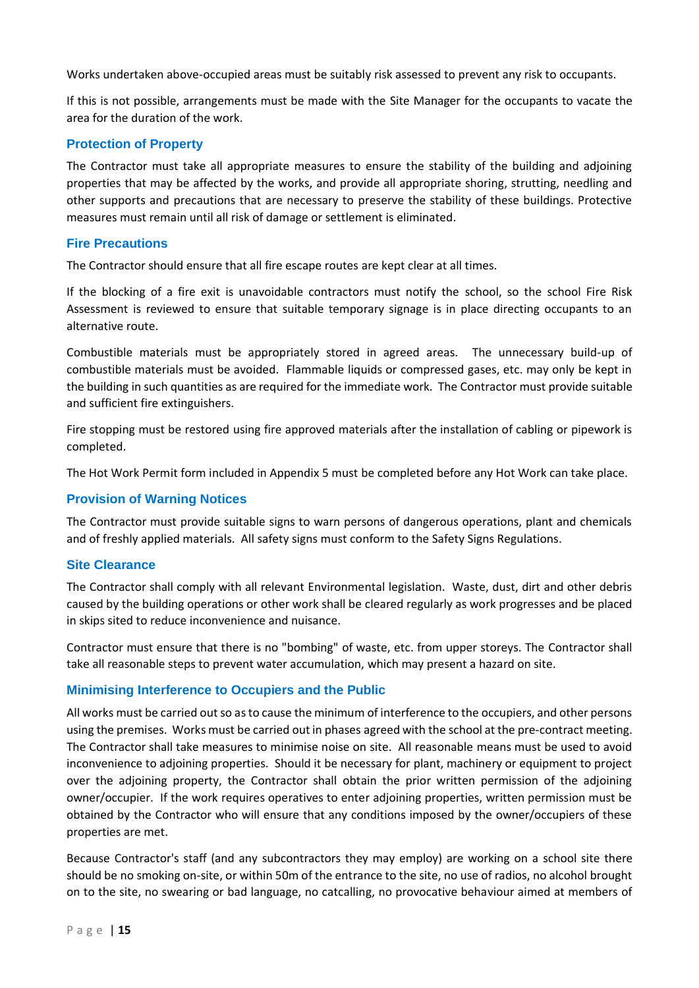Works undertaken above-occupied areas must be suitably risk assessed to prevent any risk to occupants.

If this is not possible, arrangements must be made with the Site Manager for the occupants to vacate the area for the duration of the work.

#### <span id="page-14-0"></span>**Protection of Property**

The Contractor must take all appropriate measures to ensure the stability of the building and adjoining properties that may be affected by the works, and provide all appropriate shoring, strutting, needling and other supports and precautions that are necessary to preserve the stability of these buildings. Protective measures must remain until all risk of damage or settlement is eliminated.

#### <span id="page-14-1"></span>**Fire Precautions**

The Contractor should ensure that all fire escape routes are kept clear at all times.

If the blocking of a fire exit is unavoidable contractors must notify the school, so the school Fire Risk Assessment is reviewed to ensure that suitable temporary signage is in place directing occupants to an alternative route.

Combustible materials must be appropriately stored in agreed areas. The unnecessary build-up of combustible materials must be avoided. Flammable liquids or compressed gases, etc. may only be kept in the building in such quantities as are required for the immediate work. The Contractor must provide suitable and sufficient fire extinguishers.

Fire stopping must be restored using fire approved materials after the installation of cabling or pipework is completed.

The Hot Work Permit form included in Appendix 5 must be completed before any Hot Work can take place.

#### <span id="page-14-2"></span>**Provision of Warning Notices**

The Contractor must provide suitable signs to warn persons of dangerous operations, plant and chemicals and of freshly applied materials. All safety signs must conform to the Safety Signs Regulations.

#### <span id="page-14-3"></span>**Site Clearance**

The Contractor shall comply with all relevant Environmental legislation. Waste, dust, dirt and other debris caused by the building operations or other work shall be cleared regularly as work progresses and be placed in skips sited to reduce inconvenience and nuisance.

Contractor must ensure that there is no "bombing" of waste, etc. from upper storeys. The Contractor shall take all reasonable steps to prevent water accumulation, which may present a hazard on site.

#### <span id="page-14-4"></span>**Minimising Interference to Occupiers and the Public**

All works must be carried out so as to cause the minimum of interference to the occupiers, and other persons using the premises. Works must be carried out in phases agreed with the school at the pre-contract meeting. The Contractor shall take measures to minimise noise on site. All reasonable means must be used to avoid inconvenience to adjoining properties. Should it be necessary for plant, machinery or equipment to project over the adjoining property, the Contractor shall obtain the prior written permission of the adjoining owner/occupier. If the work requires operatives to enter adjoining properties, written permission must be obtained by the Contractor who will ensure that any conditions imposed by the owner/occupiers of these properties are met.

Because Contractor's staff (and any subcontractors they may employ) are working on a school site there should be no smoking on-site, or within 50m of the entrance to the site, no use of radios, no alcohol brought on to the site, no swearing or bad language, no catcalling, no provocative behaviour aimed at members of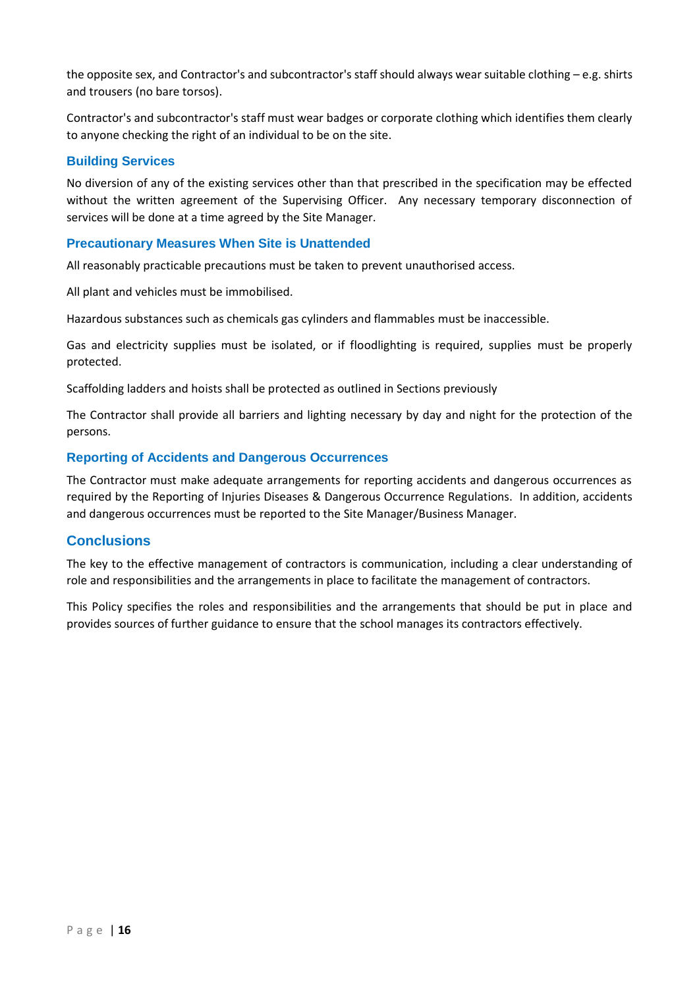the opposite sex, and Contractor's and subcontractor's staff should always wear suitable clothing – e.g. shirts and trousers (no bare torsos).

Contractor's and subcontractor's staff must wear badges or corporate clothing which identifies them clearly to anyone checking the right of an individual to be on the site.

#### <span id="page-15-0"></span>**Building Services**

No diversion of any of the existing services other than that prescribed in the specification may be effected without the written agreement of the Supervising Officer. Any necessary temporary disconnection of services will be done at a time agreed by the Site Manager.

#### <span id="page-15-1"></span>**Precautionary Measures When Site is Unattended**

All reasonably practicable precautions must be taken to prevent unauthorised access.

All plant and vehicles must be immobilised.

Hazardous substances such as chemicals gas cylinders and flammables must be inaccessible.

Gas and electricity supplies must be isolated, or if floodlighting is required, supplies must be properly protected.

Scaffolding ladders and hoists shall be protected as outlined in Sections previously

The Contractor shall provide all barriers and lighting necessary by day and night for the protection of the persons.

#### <span id="page-15-2"></span>**Reporting of Accidents and Dangerous Occurrences**

The Contractor must make adequate arrangements for reporting accidents and dangerous occurrences as required by the Reporting of Injuries Diseases & Dangerous Occurrence Regulations. In addition, accidents and dangerous occurrences must be reported to the Site Manager/Business Manager.

#### <span id="page-15-3"></span>**Conclusions**

The key to the effective management of contractors is communication, including a clear understanding of role and responsibilities and the arrangements in place to facilitate the management of contractors.

This Policy specifies the roles and responsibilities and the arrangements that should be put in place and provides sources of further guidance to ensure that the school manages its contractors effectively.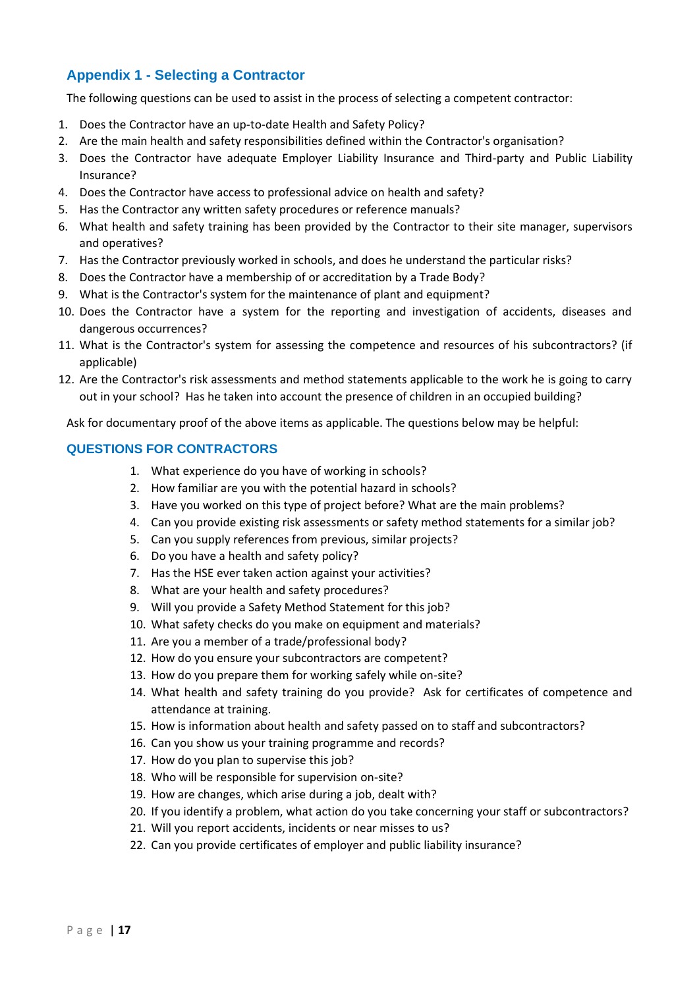# <span id="page-16-0"></span>**Appendix 1 - Selecting a Contractor**

The following questions can be used to assist in the process of selecting a competent contractor:

- 1. Does the Contractor have an up-to-date Health and Safety Policy?
- 2. Are the main health and safety responsibilities defined within the Contractor's organisation?
- 3. Does the Contractor have adequate Employer Liability Insurance and Third-party and Public Liability Insurance?
- 4. Does the Contractor have access to professional advice on health and safety?
- 5. Has the Contractor any written safety procedures or reference manuals?
- 6. What health and safety training has been provided by the Contractor to their site manager, supervisors and operatives?
- 7. Has the Contractor previously worked in schools, and does he understand the particular risks?
- 8. Does the Contractor have a membership of or accreditation by a Trade Body?
- 9. What is the Contractor's system for the maintenance of plant and equipment?
- 10. Does the Contractor have a system for the reporting and investigation of accidents, diseases and dangerous occurrences?
- 11. What is the Contractor's system for assessing the competence and resources of his subcontractors? (if applicable)
- 12. Are the Contractor's risk assessments and method statements applicable to the work he is going to carry out in your school? Has he taken into account the presence of children in an occupied building?

Ask for documentary proof of the above items as applicable. The questions below may be helpful:

#### <span id="page-16-1"></span>**QUESTIONS FOR CONTRACTORS**

- 1. What experience do you have of working in schools?
- 2. How familiar are you with the potential hazard in schools?
- 3. Have you worked on this type of project before? What are the main problems?
- 4. Can you provide existing risk assessments or safety method statements for a similar job?
- 5. Can you supply references from previous, similar projects?
- 6. Do you have a health and safety policy?
- 7. Has the HSE ever taken action against your activities?
- 8. What are your health and safety procedures?
- 9. Will you provide a Safety Method Statement for this job?
- 10. What safety checks do you make on equipment and materials?
- 11. Are you a member of a trade/professional body?
- 12. How do you ensure your subcontractors are competent?
- 13. How do you prepare them for working safely while on-site?
- 14. What health and safety training do you provide? Ask for certificates of competence and attendance at training.
- 15. How is information about health and safety passed on to staff and subcontractors?
- 16. Can you show us your training programme and records?
- 17. How do you plan to supervise this job?
- 18. Who will be responsible for supervision on-site?
- 19. How are changes, which arise during a job, dealt with?
- 20. If you identify a problem, what action do you take concerning your staff or subcontractors?
- 21. Will you report accidents, incidents or near misses to us?
- 22. Can you provide certificates of employer and public liability insurance?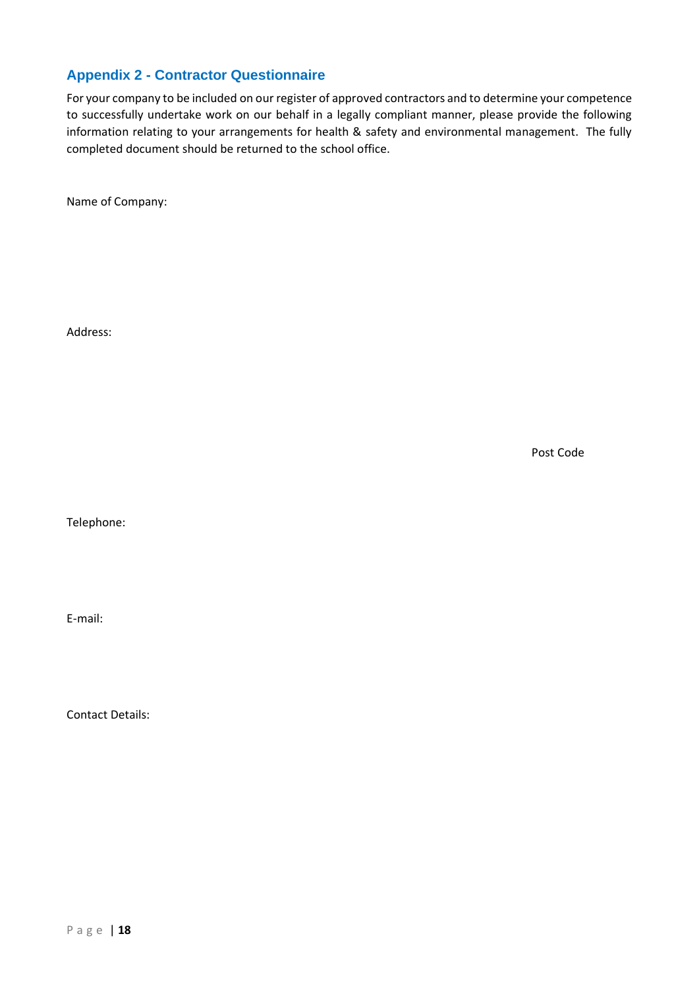# <span id="page-17-0"></span>**Appendix 2 - Contractor Questionnaire**

For your company to be included on our register of approved contractors and to determine your competence to successfully undertake work on our behalf in a legally compliant manner, please provide the following information relating to your arrangements for health & safety and environmental management. The fully completed document should be returned to the school office.

Name of Company:

Address:

Post Code

Telephone:

E-mail:

Contact Details:

P a g e | **18**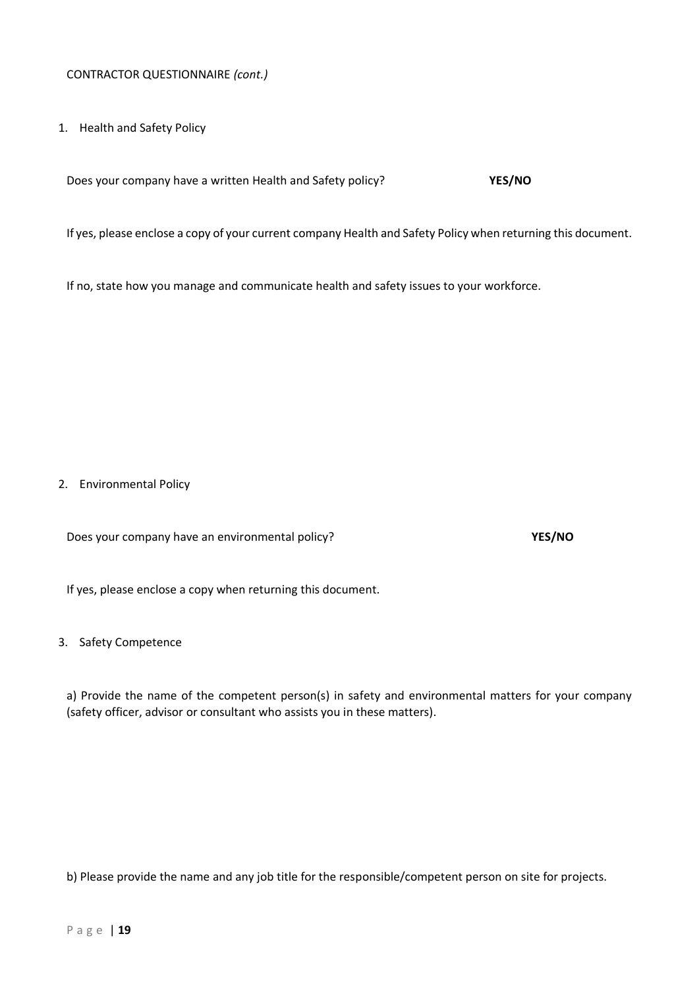1. Health and Safety Policy

Does your company have a written Health and Safety policy? **YES/NO**

If yes, please enclose a copy of your current company Health and Safety Policy when returning this document.

If no, state how you manage and communicate health and safety issues to your workforce.

2. Environmental Policy

Does your company have an environmental policy? **YES/NO**

If yes, please enclose a copy when returning this document.

#### 3. Safety Competence

a) Provide the name of the competent person(s) in safety and environmental matters for your company (safety officer, advisor or consultant who assists you in these matters).

b) Please provide the name and any job title for the responsible/competent person on site for projects.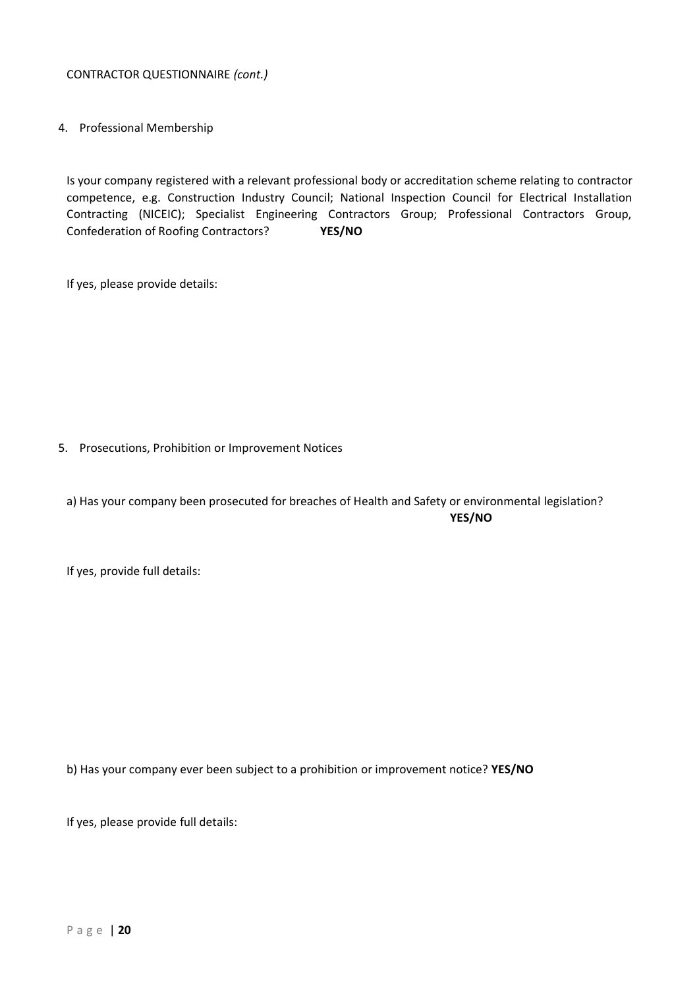4. Professional Membership

Is your company registered with a relevant professional body or accreditation scheme relating to contractor competence, e.g. Construction Industry Council; National Inspection Council for Electrical Installation Contracting (NICEIC); Specialist Engineering Contractors Group; Professional Contractors Group, Confederation of Roofing Contractors? **YES/NO**

If yes, please provide details:

5. Prosecutions, Prohibition or Improvement Notices

a) Has your company been prosecuted for breaches of Health and Safety or environmental legislation? **YES/NO**

If yes, provide full details:

b) Has your company ever been subject to a prohibition or improvement notice? **YES/NO**

If yes, please provide full details: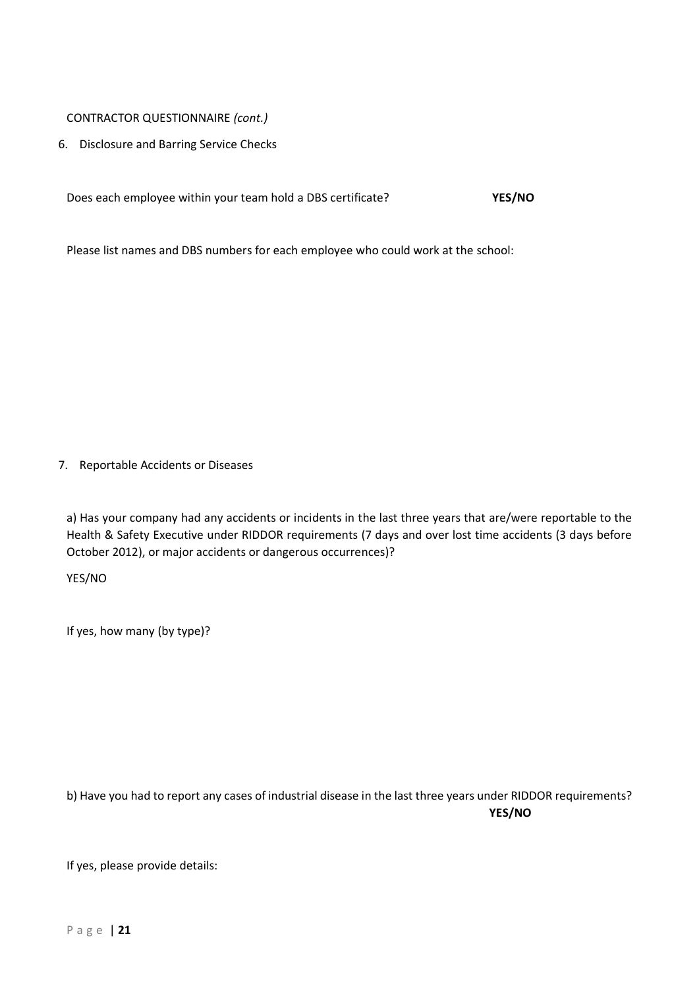6. Disclosure and Barring Service Checks

Does each employee within your team hold a DBS certificate? **YES/NO**

Please list names and DBS numbers for each employee who could work at the school:

7. Reportable Accidents or Diseases

a) Has your company had any accidents or incidents in the last three years that are/were reportable to the Health & Safety Executive under RIDDOR requirements (7 days and over lost time accidents (3 days before October 2012), or major accidents or dangerous occurrences)?

YES/NO

If yes, how many (by type)?

b) Have you had to report any cases of industrial disease in the last three years under RIDDOR requirements? **YES/NO**

If yes, please provide details: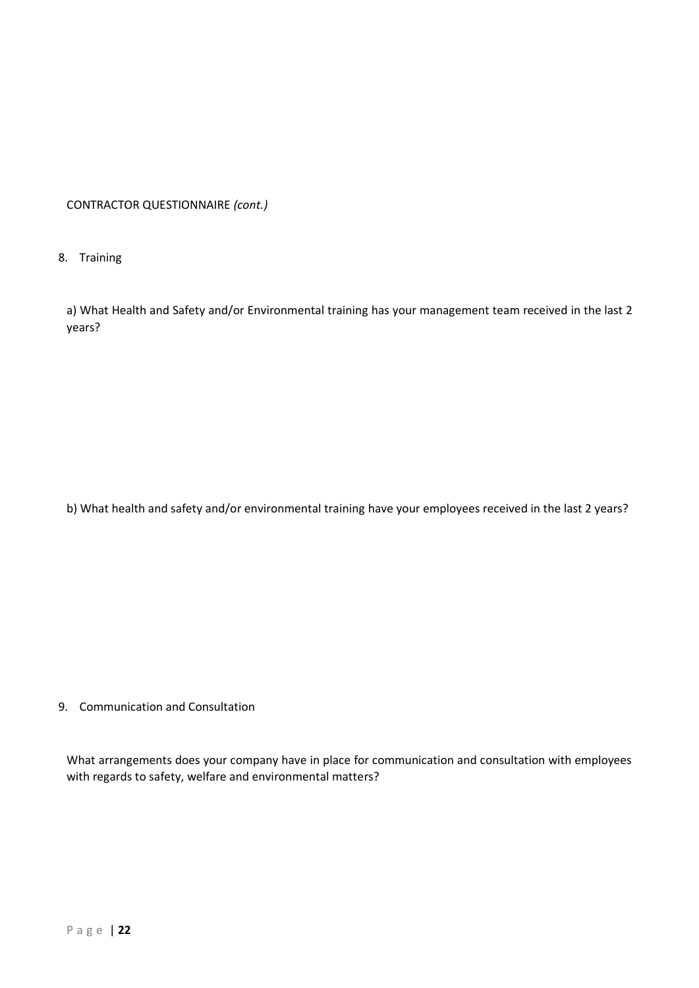#### 8. Training

a) What Health and Safety and/or Environmental training has your management team received in the last 2 years?

b) What health and safety and/or environmental training have your employees received in the last 2 years?

#### 9. Communication and Consultation

What arrangements does your company have in place for communication and consultation with employees with regards to safety, welfare and environmental matters?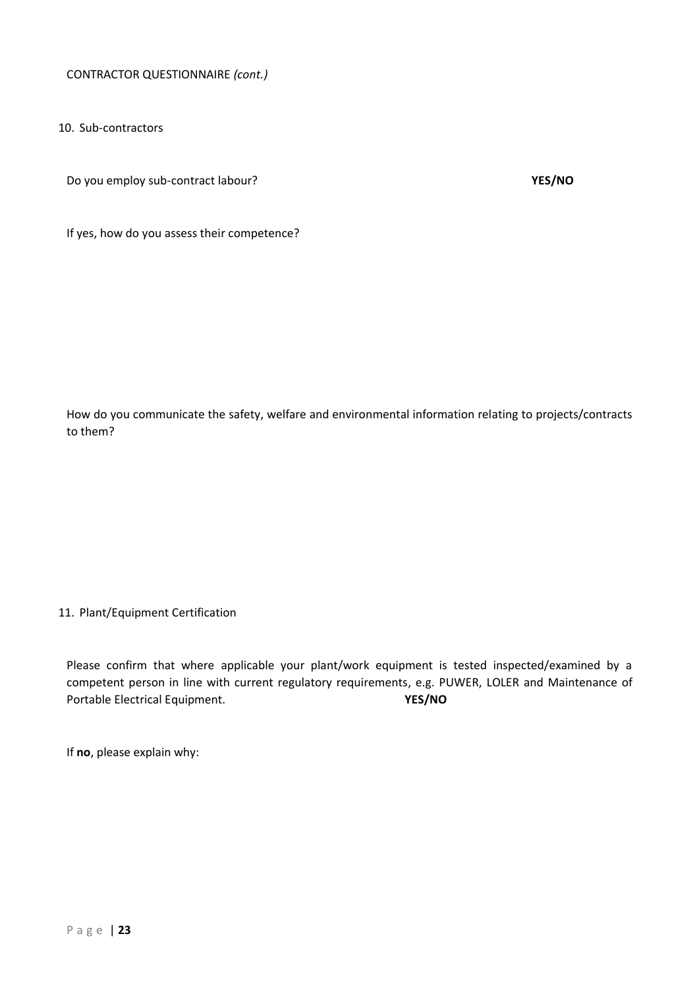10. Sub-contractors

Do you employ sub-contract labour? **YES/NO**

If yes, how do you assess their competence?

How do you communicate the safety, welfare and environmental information relating to projects/contracts to them?

#### 11. Plant/Equipment Certification

Please confirm that where applicable your plant/work equipment is tested inspected/examined by a competent person in line with current regulatory requirements, e.g. PUWER, LOLER and Maintenance of Portable Electrical Equipment. **YES/NO**

If **no**, please explain why: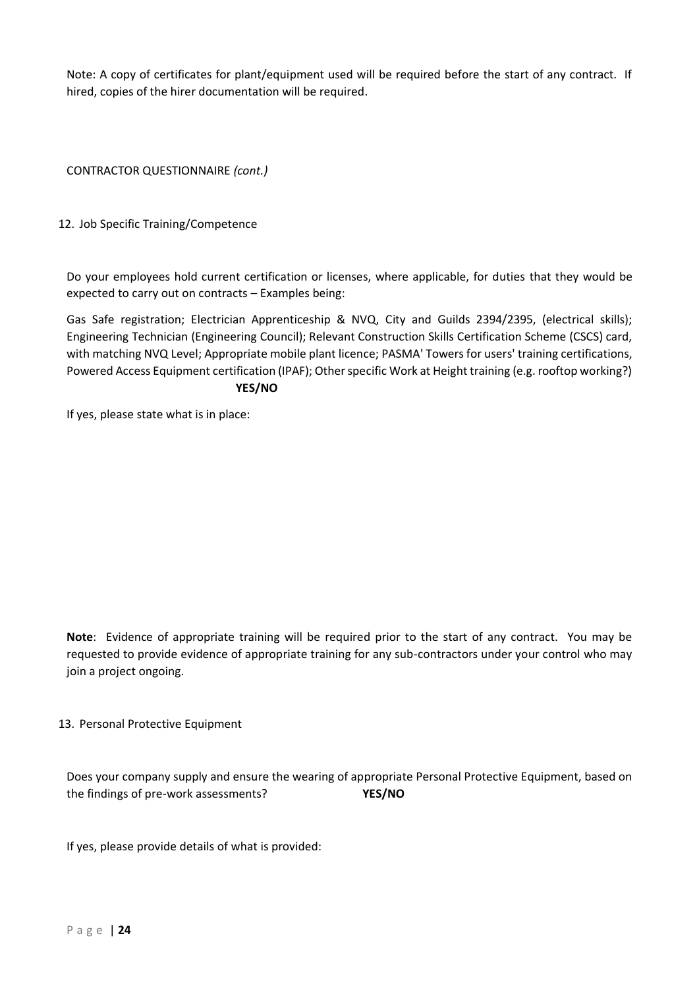Note: A copy of certificates for plant/equipment used will be required before the start of any contract. If hired, copies of the hirer documentation will be required.

CONTRACTOR QUESTIONNAIRE *(cont.)*

12. Job Specific Training/Competence

Do your employees hold current certification or licenses, where applicable, for duties that they would be expected to carry out on contracts – Examples being:

Gas Safe registration; Electrician Apprenticeship & NVQ, City and Guilds 2394/2395, (electrical skills); Engineering Technician (Engineering Council); Relevant Construction Skills Certification Scheme (CSCS) card, with matching NVQ Level; Appropriate mobile plant licence; PASMA' Towers for users' training certifications, Powered Access Equipment certification (IPAF); Other specific Work at Height training (e.g. rooftop working?) **YES/NO**

If yes, please state what is in place:

**Note**: Evidence of appropriate training will be required prior to the start of any contract. You may be requested to provide evidence of appropriate training for any sub-contractors under your control who may join a project ongoing.

13. Personal Protective Equipment

Does your company supply and ensure the wearing of appropriate Personal Protective Equipment, based on the findings of pre-work assessments? **YES/NO**

If yes, please provide details of what is provided: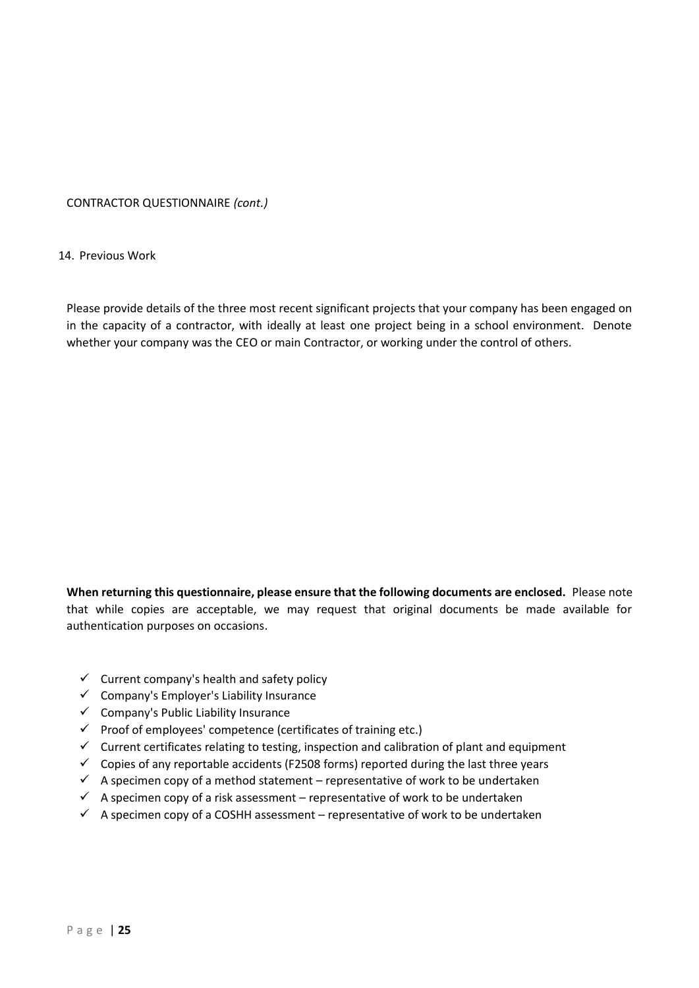#### 14. Previous Work

Please provide details of the three most recent significant projects that your company has been engaged on in the capacity of a contractor, with ideally at least one project being in a school environment. Denote whether your company was the CEO or main Contractor, or working under the control of others.

**When returning this questionnaire, please ensure that the following documents are enclosed.** Please note that while copies are acceptable, we may request that original documents be made available for authentication purposes on occasions.

- $\checkmark$  Current company's health and safety policy
- ✓ Company's Employer's Liability Insurance
- ✓ Company's Public Liability Insurance
- $\checkmark$  Proof of employees' competence (certificates of training etc.)
- $\checkmark$  Current certificates relating to testing, inspection and calibration of plant and equipment
- $\checkmark$  Copies of any reportable accidents (F2508 forms) reported during the last three years
- $\checkmark$  A specimen copy of a method statement representative of work to be undertaken
- $\checkmark$  A specimen copy of a risk assessment representative of work to be undertaken
- $\checkmark$  A specimen copy of a COSHH assessment representative of work to be undertaken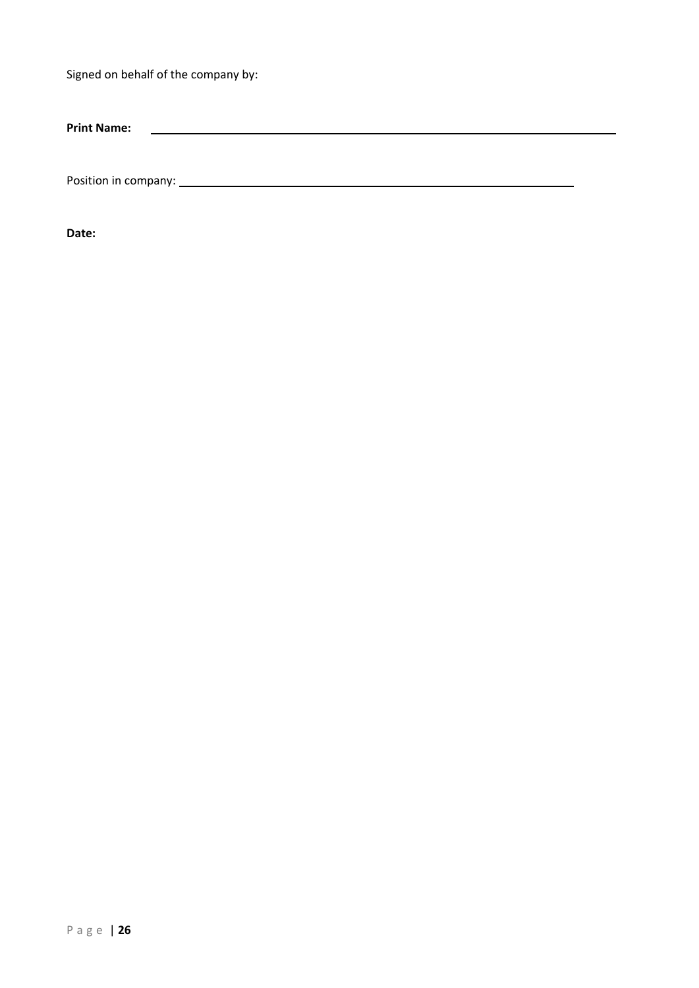Signed on behalf of the company by:

**Print Name:** <u>and the state of the state of the state of the state of the state of the state of the state of the state of the state of the state of the state of the state of the state of the state of the state of the state of the state</u>

Position in company:

**Date:**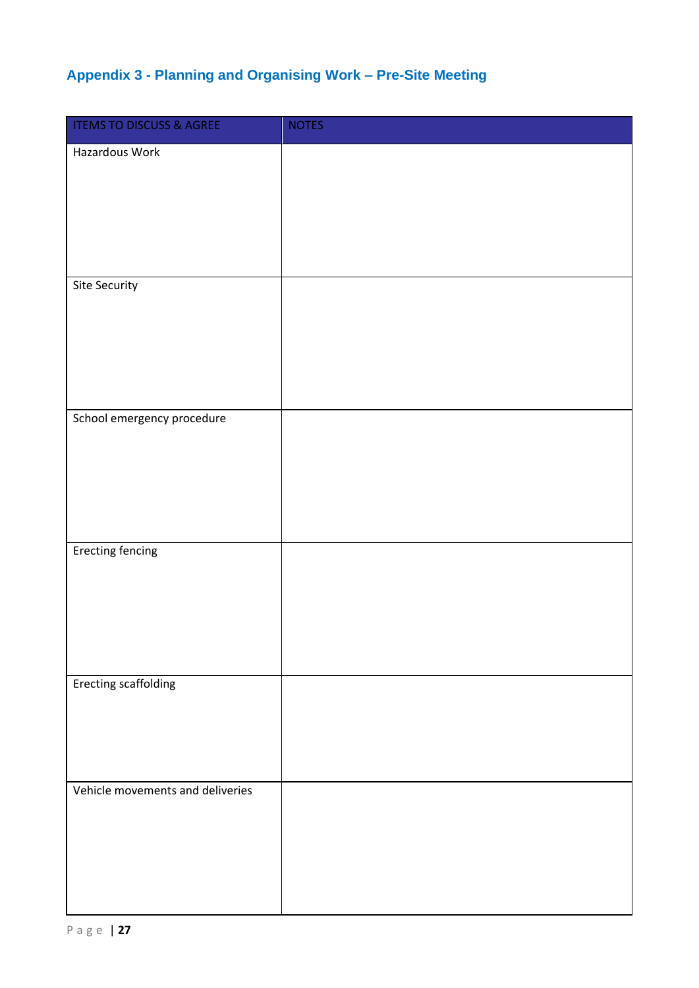# <span id="page-26-0"></span>**Appendix 3 - Planning and Organising Work – Pre-Site Meeting**

| <b>ITEMS TO DISCUSS &amp; AGREE</b> | <b>NOTES</b> |
|-------------------------------------|--------------|
| Hazardous Work                      |              |
|                                     |              |
|                                     |              |
|                                     |              |
|                                     |              |
| <b>Site Security</b>                |              |
|                                     |              |
|                                     |              |
|                                     |              |
|                                     |              |
| School emergency procedure          |              |
|                                     |              |
|                                     |              |
|                                     |              |
|                                     |              |
| <b>Erecting fencing</b>             |              |
|                                     |              |
|                                     |              |
|                                     |              |
|                                     |              |
| <b>Erecting scaffolding</b>         |              |
|                                     |              |
|                                     |              |
|                                     |              |
| Vehicle movements and deliveries    |              |
|                                     |              |
|                                     |              |
|                                     |              |
|                                     |              |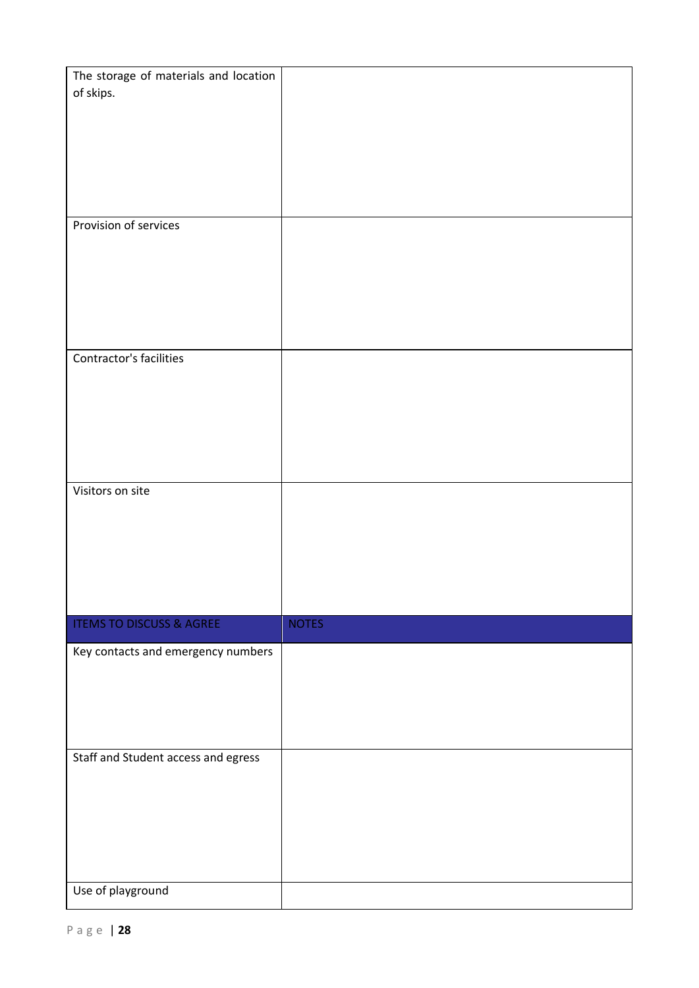| The storage of materials and location |              |
|---------------------------------------|--------------|
| of skips.                             |              |
|                                       |              |
|                                       |              |
|                                       |              |
|                                       |              |
|                                       |              |
|                                       |              |
|                                       |              |
| Provision of services                 |              |
|                                       |              |
|                                       |              |
|                                       |              |
|                                       |              |
|                                       |              |
|                                       |              |
|                                       |              |
| Contractor's facilities               |              |
|                                       |              |
|                                       |              |
|                                       |              |
|                                       |              |
|                                       |              |
|                                       |              |
| Visitors on site                      |              |
|                                       |              |
|                                       |              |
|                                       |              |
|                                       |              |
|                                       |              |
|                                       |              |
|                                       |              |
| <b>ITEMS TO DISCUSS &amp; AGREE</b>   | <b>NOTES</b> |
| Key contacts and emergency numbers    |              |
|                                       |              |
|                                       |              |
|                                       |              |
|                                       |              |
|                                       |              |
| Staff and Student access and egress   |              |
|                                       |              |
|                                       |              |
|                                       |              |
|                                       |              |
|                                       |              |
|                                       |              |
|                                       |              |
|                                       |              |
| Use of playground                     |              |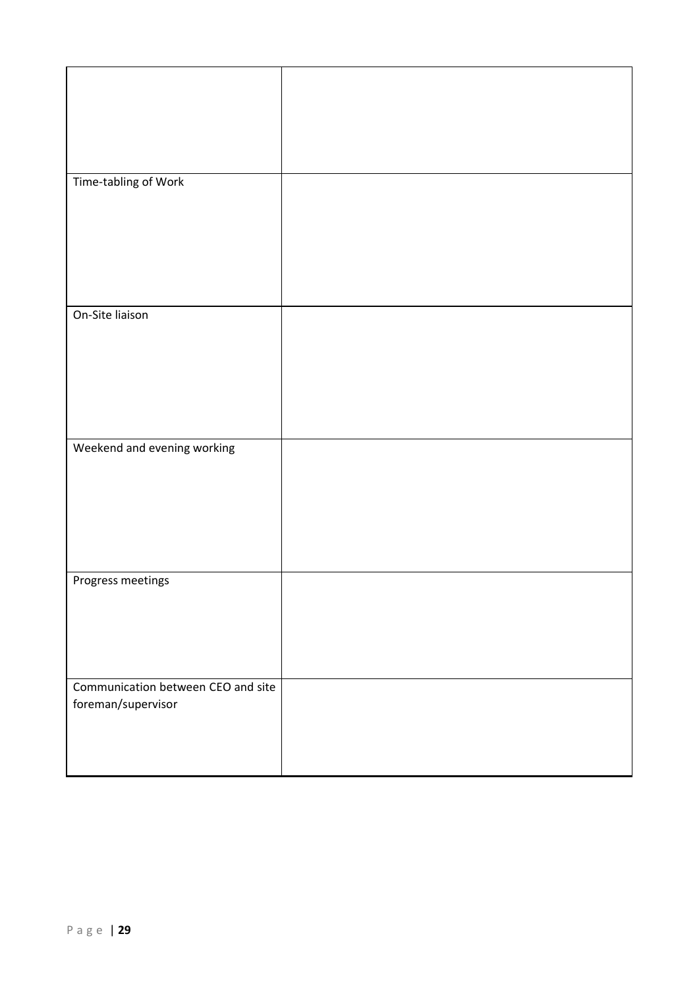| Time-tabling of Work               |  |
|------------------------------------|--|
|                                    |  |
|                                    |  |
|                                    |  |
|                                    |  |
| On-Site liaison                    |  |
|                                    |  |
|                                    |  |
|                                    |  |
|                                    |  |
|                                    |  |
| Weekend and evening working        |  |
|                                    |  |
|                                    |  |
|                                    |  |
|                                    |  |
| Progress meetings                  |  |
|                                    |  |
|                                    |  |
|                                    |  |
| Communication between CEO and site |  |
| foreman/supervisor                 |  |
|                                    |  |
|                                    |  |
|                                    |  |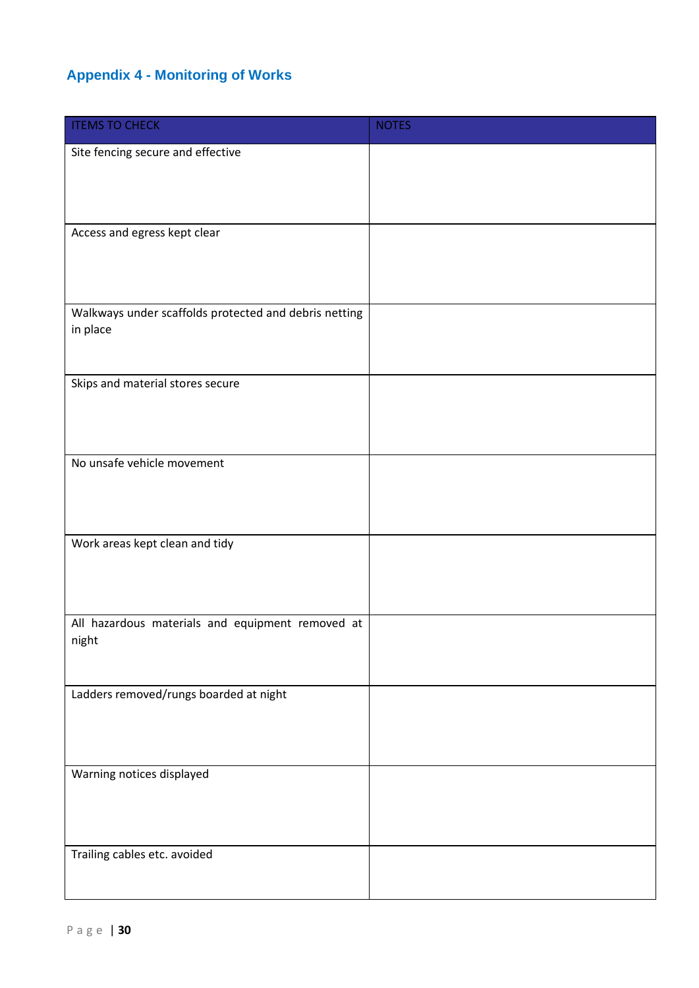# <span id="page-29-0"></span>**Appendix 4 - Monitoring of Works**

| <b>ITEMS TO CHECK</b>                                             | <b>NOTES</b> |
|-------------------------------------------------------------------|--------------|
| Site fencing secure and effective                                 |              |
|                                                                   |              |
|                                                                   |              |
| Access and egress kept clear                                      |              |
|                                                                   |              |
|                                                                   |              |
| Walkways under scaffolds protected and debris netting<br>in place |              |
|                                                                   |              |
| Skips and material stores secure                                  |              |
|                                                                   |              |
|                                                                   |              |
| No unsafe vehicle movement                                        |              |
|                                                                   |              |
|                                                                   |              |
| Work areas kept clean and tidy                                    |              |
|                                                                   |              |
|                                                                   |              |
| All hazardous materials and equipment removed at                  |              |
| night                                                             |              |
|                                                                   |              |
| Ladders removed/rungs boarded at night                            |              |
|                                                                   |              |
|                                                                   |              |
| Warning notices displayed                                         |              |
|                                                                   |              |
|                                                                   |              |
| Trailing cables etc. avoided                                      |              |
|                                                                   |              |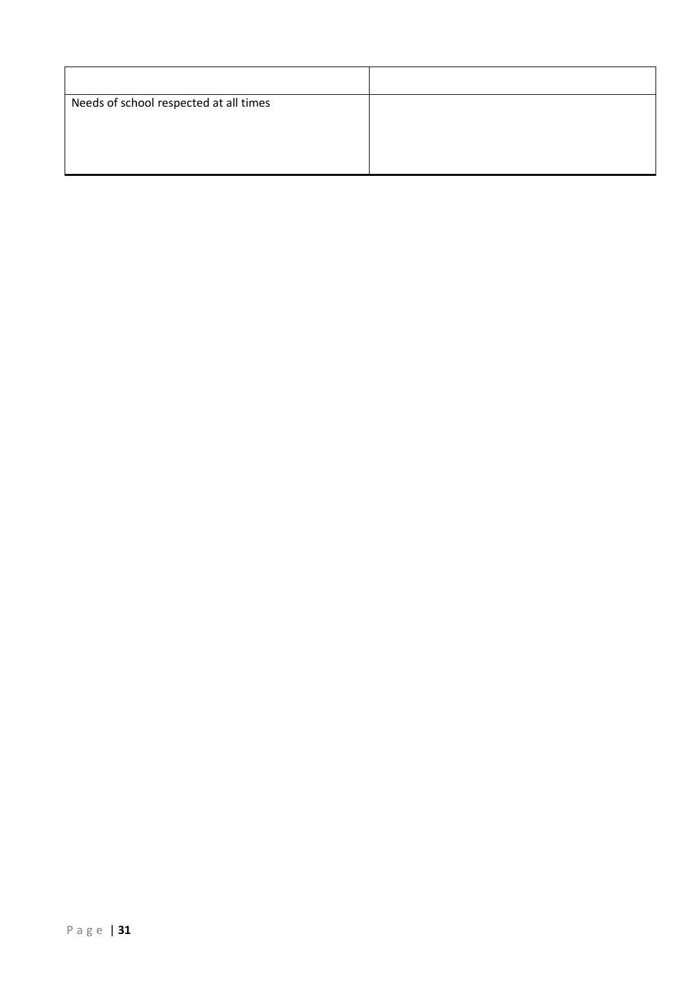| Needs of school respected at all times |  |
|----------------------------------------|--|
|                                        |  |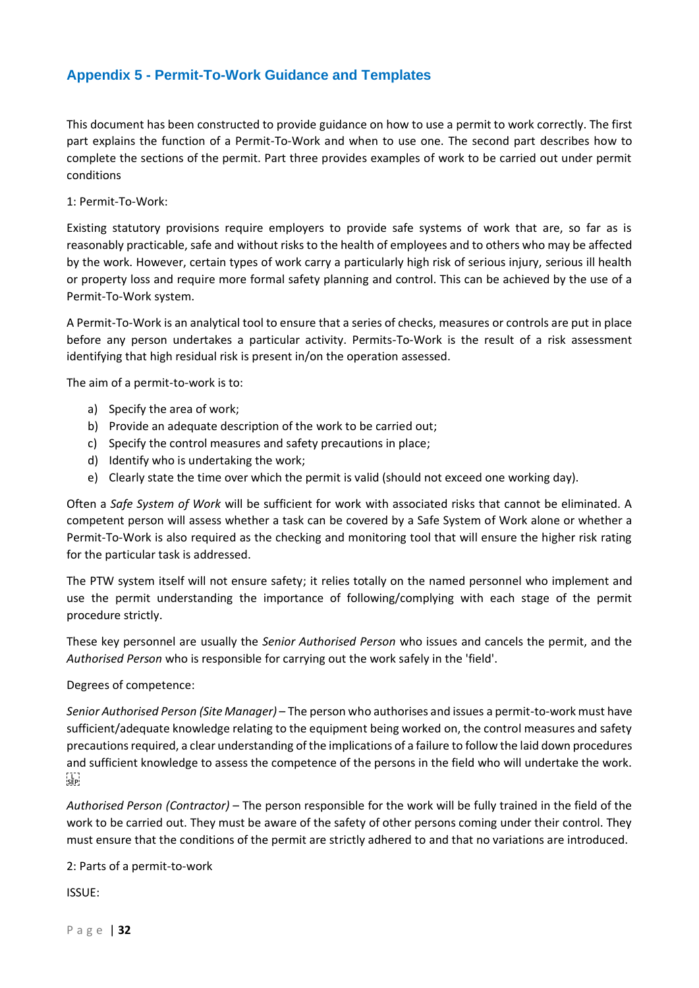# <span id="page-31-0"></span>**Appendix 5 - Permit-To-Work Guidance and Templates**

This document has been constructed to provide guidance on how to use a permit to work correctly. The first part explains the function of a Permit-To-Work and when to use one. The second part describes how to complete the sections of the permit. Part three provides examples of work to be carried out under permit conditions

1: Permit-To-Work:

Existing statutory provisions require employers to provide safe systems of work that are, so far as is reasonably practicable, safe and without risks to the health of employees and to others who may be affected by the work. However, certain types of work carry a particularly high risk of serious injury, serious ill health or property loss and require more formal safety planning and control. This can be achieved by the use of a Permit-To-Work system.

A Permit-To-Work is an analytical tool to ensure that a series of checks, measures or controls are put in place before any person undertakes a particular activity. Permits-To-Work is the result of a risk assessment identifying that high residual risk is present in/on the operation assessed.

The aim of a permit-to-work is to:

- a) Specify the area of work;
- b) Provide an adequate description of the work to be carried out;
- c) Specify the control measures and safety precautions in place;
- d) Identify who is undertaking the work;
- e) Clearly state the time over which the permit is valid (should not exceed one working day).

Often a *Safe System of Work* will be sufficient for work with associated risks that cannot be eliminated. A competent person will assess whether a task can be covered by a Safe System of Work alone or whether a Permit-To-Work is also required as the checking and monitoring tool that will ensure the higher risk rating for the particular task is addressed.

The PTW system itself will not ensure safety; it relies totally on the named personnel who implement and use the permit understanding the importance of following/complying with each stage of the permit procedure strictly.

These key personnel are usually the *Senior Authorised Person* who issues and cancels the permit, and the *Authorised Person* who is responsible for carrying out the work safely in the 'field'.

Degrees of competence:

*Senior Authorised Person (Site Manager)* – The person who authorises and issues a permit-to-work must have sufficient/adequate knowledge relating to the equipment being worked on, the control measures and safety precautions required, a clear understanding of the implications of a failure to follow the laid down procedures and sufficient knowledge to assess the competence of the persons in the field who will undertake the work.  $SEP$ 

*Authorised Person (Contractor)* – The person responsible for the work will be fully trained in the field of the work to be carried out. They must be aware of the safety of other persons coming under their control. They must ensure that the conditions of the permit are strictly adhered to and that no variations are introduced.

2: Parts of a permit-to-work

ISSUE:

P a g e | **32**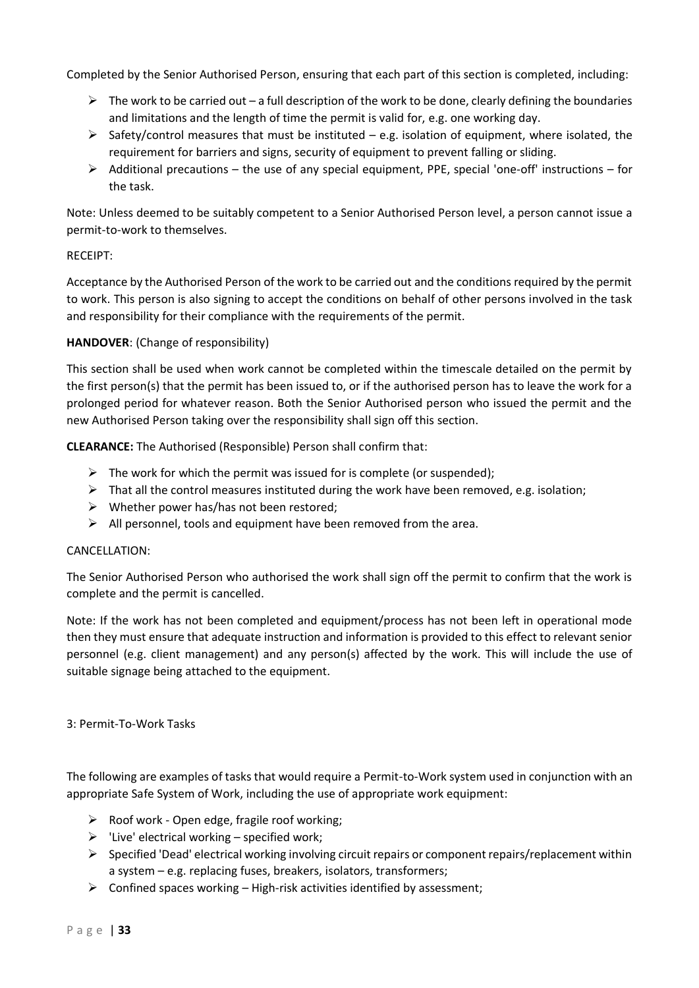Completed by the Senior Authorised Person, ensuring that each part of this section is completed, including:

- $\triangleright$  The work to be carried out a full description of the work to be done, clearly defining the boundaries and limitations and the length of time the permit is valid for, e.g. one working day.
- $\triangleright$  Safety/control measures that must be instituted e.g. isolation of equipment, where isolated, the requirement for barriers and signs, security of equipment to prevent falling or sliding.
- $\triangleright$  Additional precautions the use of any special equipment, PPE, special 'one-off' instructions for the task.

Note: Unless deemed to be suitably competent to a Senior Authorised Person level, a person cannot issue a permit-to-work to themselves.

#### RECEIPT:

Acceptance by the Authorised Person of the work to be carried out and the conditions required by the permit to work. This person is also signing to accept the conditions on behalf of other persons involved in the task and responsibility for their compliance with the requirements of the permit.

#### **HANDOVER**: (Change of responsibility)

This section shall be used when work cannot be completed within the timescale detailed on the permit by the first person(s) that the permit has been issued to, or if the authorised person has to leave the work for a prolonged period for whatever reason. Both the Senior Authorised person who issued the permit and the new Authorised Person taking over the responsibility shall sign off this section.

**CLEARANCE:** The Authorised (Responsible) Person shall confirm that:

- $\triangleright$  The work for which the permit was issued for is complete (or suspended);
- $\triangleright$  That all the control measures instituted during the work have been removed, e.g. isolation;
- $\triangleright$  Whether power has/has not been restored;
- $\triangleright$  All personnel, tools and equipment have been removed from the area.

#### CANCELLATION:

The Senior Authorised Person who authorised the work shall sign off the permit to confirm that the work is complete and the permit is cancelled.

Note: If the work has not been completed and equipment/process has not been left in operational mode then they must ensure that adequate instruction and information is provided to this effect to relevant senior personnel (e.g. client management) and any person(s) affected by the work. This will include the use of suitable signage being attached to the equipment.

#### 3: Permit-To-Work Tasks

The following are examples of tasks that would require a Permit-to-Work system used in conjunction with an appropriate Safe System of Work, including the use of appropriate work equipment:

- $\triangleright$  Roof work Open edge, fragile roof working;
- $\triangleright$  'Live' electrical working specified work;
- $\triangleright$  Specified 'Dead' electrical working involving circuit repairs or component repairs/replacement within a system – e.g. replacing fuses, breakers, isolators, transformers;
- $\triangleright$  Confined spaces working High-risk activities identified by assessment;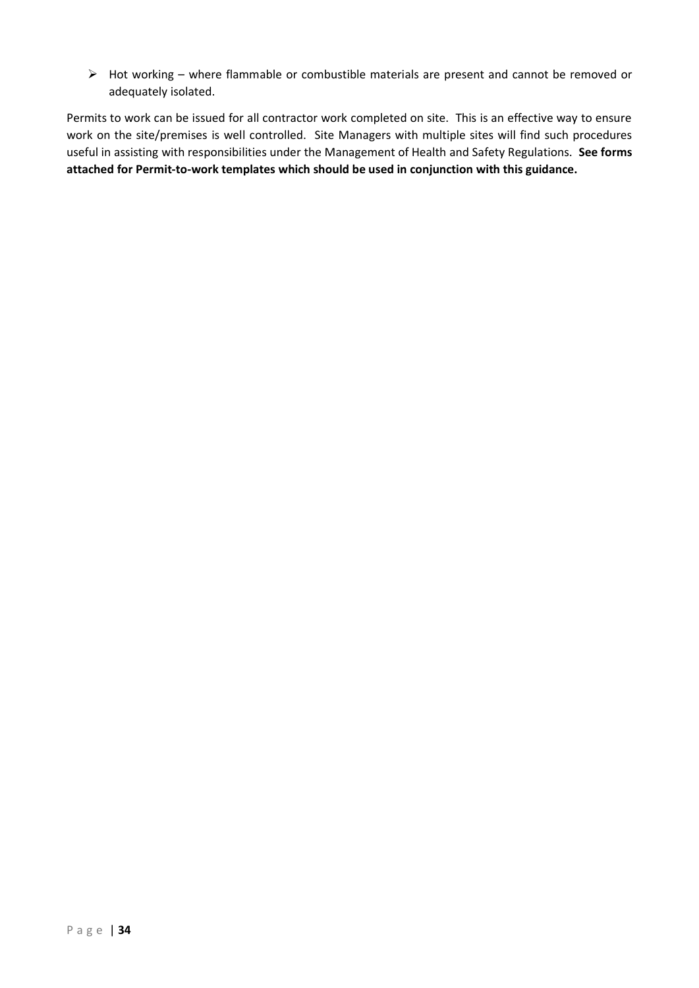➢ Hot working – where flammable or combustible materials are present and cannot be removed or adequately isolated.

Permits to work can be issued for all contractor work completed on site. This is an effective way to ensure work on the site/premises is well controlled. Site Managers with multiple sites will find such procedures useful in assisting with responsibilities under the Management of Health and Safety Regulations. **See forms attached for Permit-to-work templates which should be used in conjunction with this guidance.**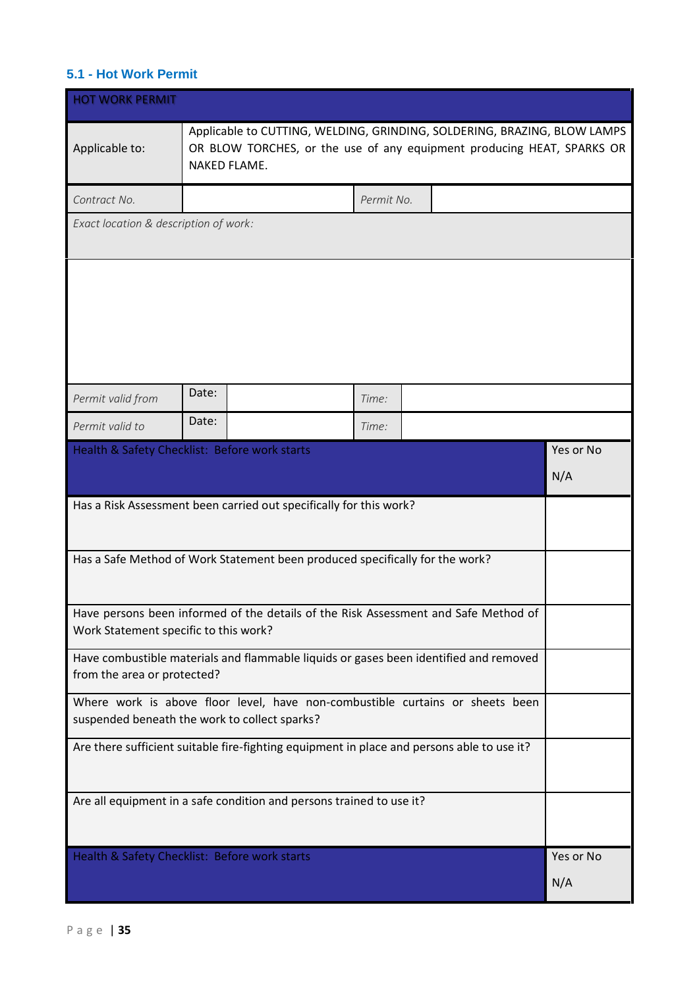## <span id="page-34-0"></span>**5.1 - Hot Work Permit**

| <b>HOT WORK PERMIT</b>                                                                                               |                                                                                                                                                                    |  |            |  |  |                  |
|----------------------------------------------------------------------------------------------------------------------|--------------------------------------------------------------------------------------------------------------------------------------------------------------------|--|------------|--|--|------------------|
| Applicable to:                                                                                                       | Applicable to CUTTING, WELDING, GRINDING, SOLDERING, BRAZING, BLOW LAMPS<br>OR BLOW TORCHES, or the use of any equipment producing HEAT, SPARKS OR<br>NAKED FLAME. |  |            |  |  |                  |
| Contract No.                                                                                                         |                                                                                                                                                                    |  | Permit No. |  |  |                  |
| Exact location & description of work:                                                                                |                                                                                                                                                                    |  |            |  |  |                  |
|                                                                                                                      | Date:                                                                                                                                                              |  |            |  |  |                  |
| Permit valid from                                                                                                    | Date:                                                                                                                                                              |  | Time:      |  |  |                  |
| Permit valid to                                                                                                      |                                                                                                                                                                    |  | Time:      |  |  |                  |
| Health & Safety Checklist: Before work starts                                                                        |                                                                                                                                                                    |  |            |  |  | Yes or No        |
|                                                                                                                      |                                                                                                                                                                    |  |            |  |  | N/A              |
| Has a Risk Assessment been carried out specifically for this work?                                                   |                                                                                                                                                                    |  |            |  |  |                  |
|                                                                                                                      | Has a Safe Method of Work Statement been produced specifically for the work?                                                                                       |  |            |  |  |                  |
|                                                                                                                      | Have persons been informed of the details of the Risk Assessment and Safe Method of                                                                                |  |            |  |  |                  |
| Work Statement specific to this work?                                                                                |                                                                                                                                                                    |  |            |  |  |                  |
| Have combustible materials and flammable liquids or gases been identified and removed<br>from the area or protected? |                                                                                                                                                                    |  |            |  |  |                  |
|                                                                                                                      | Where work is above floor level, have non-combustible curtains or sheets been<br>suspended beneath the work to collect sparks?                                     |  |            |  |  |                  |
| Are there sufficient suitable fire-fighting equipment in place and persons able to use it?                           |                                                                                                                                                                    |  |            |  |  |                  |
| Are all equipment in a safe condition and persons trained to use it?                                                 |                                                                                                                                                                    |  |            |  |  |                  |
| Health & Safety Checklist: Before work starts                                                                        |                                                                                                                                                                    |  |            |  |  | Yes or No<br>N/A |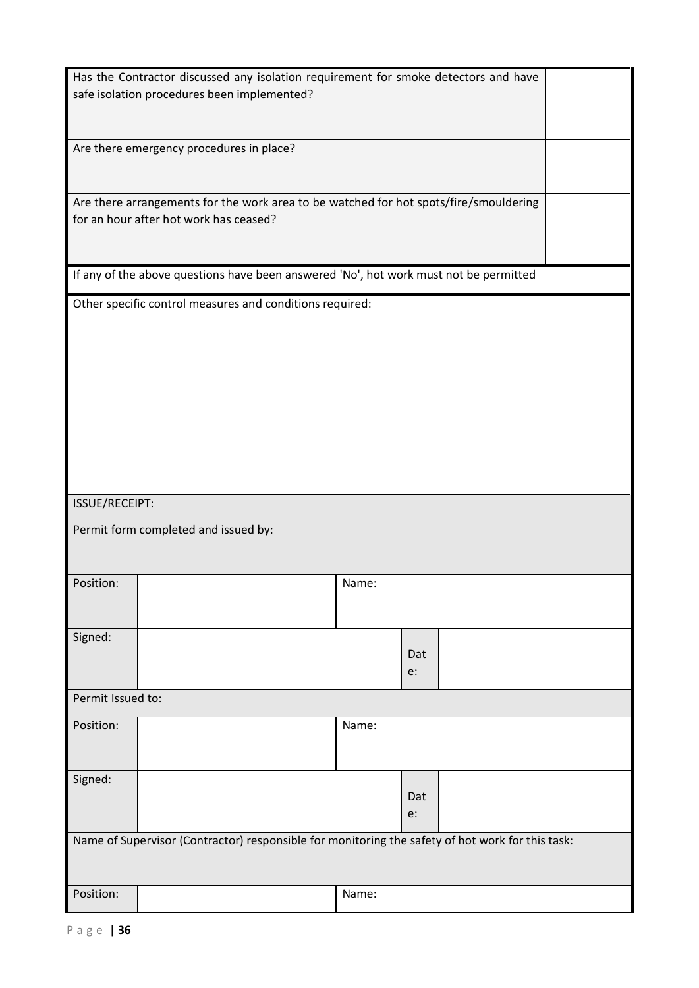|                                                                                                                                 | Has the Contractor discussed any isolation requirement for smoke detectors and have<br>safe isolation procedures been implemented? |       |  |  |  |
|---------------------------------------------------------------------------------------------------------------------------------|------------------------------------------------------------------------------------------------------------------------------------|-------|--|--|--|
|                                                                                                                                 |                                                                                                                                    |       |  |  |  |
|                                                                                                                                 | Are there emergency procedures in place?                                                                                           |       |  |  |  |
| Are there arrangements for the work area to be watched for hot spots/fire/smouldering<br>for an hour after hot work has ceased? |                                                                                                                                    |       |  |  |  |
|                                                                                                                                 | If any of the above questions have been answered 'No', hot work must not be permitted                                              |       |  |  |  |
|                                                                                                                                 | Other specific control measures and conditions required:                                                                           |       |  |  |  |
|                                                                                                                                 |                                                                                                                                    |       |  |  |  |
| ISSUE/RECEIPT:                                                                                                                  |                                                                                                                                    |       |  |  |  |
|                                                                                                                                 | Permit form completed and issued by:                                                                                               |       |  |  |  |
| Position:                                                                                                                       |                                                                                                                                    | Name: |  |  |  |
| Signed:                                                                                                                         | Dat<br>e:                                                                                                                          |       |  |  |  |
| Permit Issued to:                                                                                                               |                                                                                                                                    |       |  |  |  |
| Position:                                                                                                                       | Name:                                                                                                                              |       |  |  |  |
| Signed:                                                                                                                         | Dat<br>e:                                                                                                                          |       |  |  |  |
| Name of Supervisor (Contractor) responsible for monitoring the safety of hot work for this task:                                |                                                                                                                                    |       |  |  |  |
| Position:                                                                                                                       | Name:                                                                                                                              |       |  |  |  |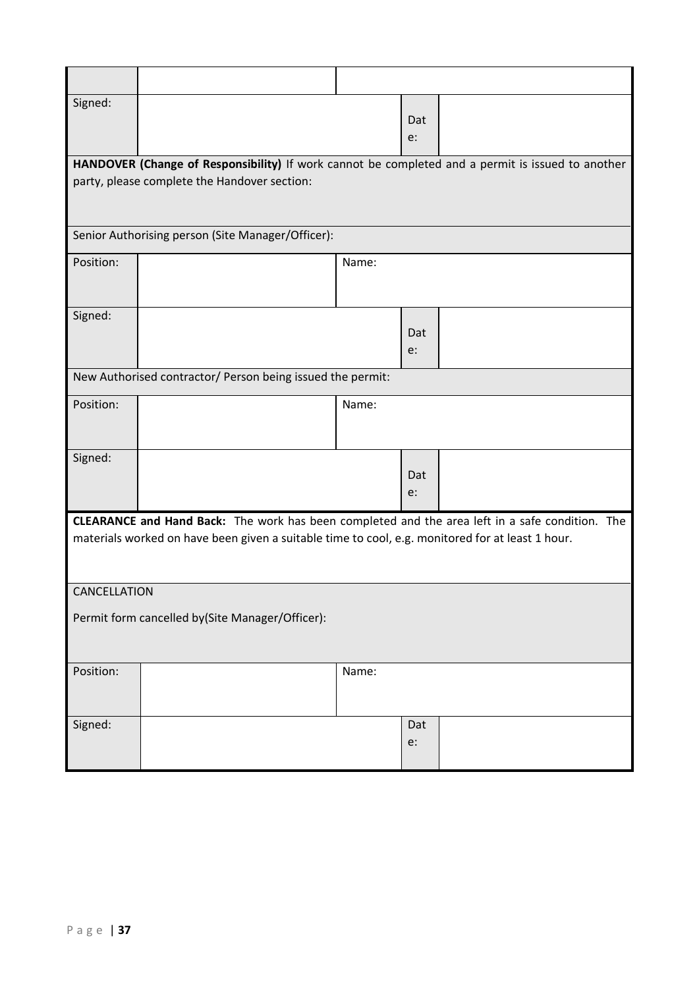| Signed:      |                                                                                                   |       | Dat<br>e: |  |  |
|--------------|---------------------------------------------------------------------------------------------------|-------|-----------|--|--|
|              | HANDOVER (Change of Responsibility) If work cannot be completed and a permit is issued to another |       |           |  |  |
|              | party, please complete the Handover section:                                                      |       |           |  |  |
|              | Senior Authorising person (Site Manager/Officer):                                                 |       |           |  |  |
| Position:    |                                                                                                   | Name: |           |  |  |
|              |                                                                                                   |       |           |  |  |
| Signed:      |                                                                                                   |       |           |  |  |
|              |                                                                                                   |       | Dat       |  |  |
|              |                                                                                                   |       | e:        |  |  |
|              | New Authorised contractor/ Person being issued the permit:                                        |       |           |  |  |
| Position:    |                                                                                                   | Name: |           |  |  |
|              |                                                                                                   |       |           |  |  |
| Signed:      |                                                                                                   |       |           |  |  |
|              |                                                                                                   |       | Dat<br>e: |  |  |
|              |                                                                                                   |       |           |  |  |
|              | CLEARANCE and Hand Back: The work has been completed and the area left in a safe condition. The   |       |           |  |  |
|              | materials worked on have been given a suitable time to cool, e.g. monitored for at least 1 hour.  |       |           |  |  |
|              |                                                                                                   |       |           |  |  |
| CANCELLATION |                                                                                                   |       |           |  |  |
|              | Permit form cancelled by(Site Manager/Officer):                                                   |       |           |  |  |
|              |                                                                                                   |       |           |  |  |
|              |                                                                                                   |       |           |  |  |
| Position:    |                                                                                                   | Name: |           |  |  |
|              |                                                                                                   |       |           |  |  |
| Signed:      |                                                                                                   |       | Dat       |  |  |
|              |                                                                                                   |       | e:        |  |  |
|              |                                                                                                   |       |           |  |  |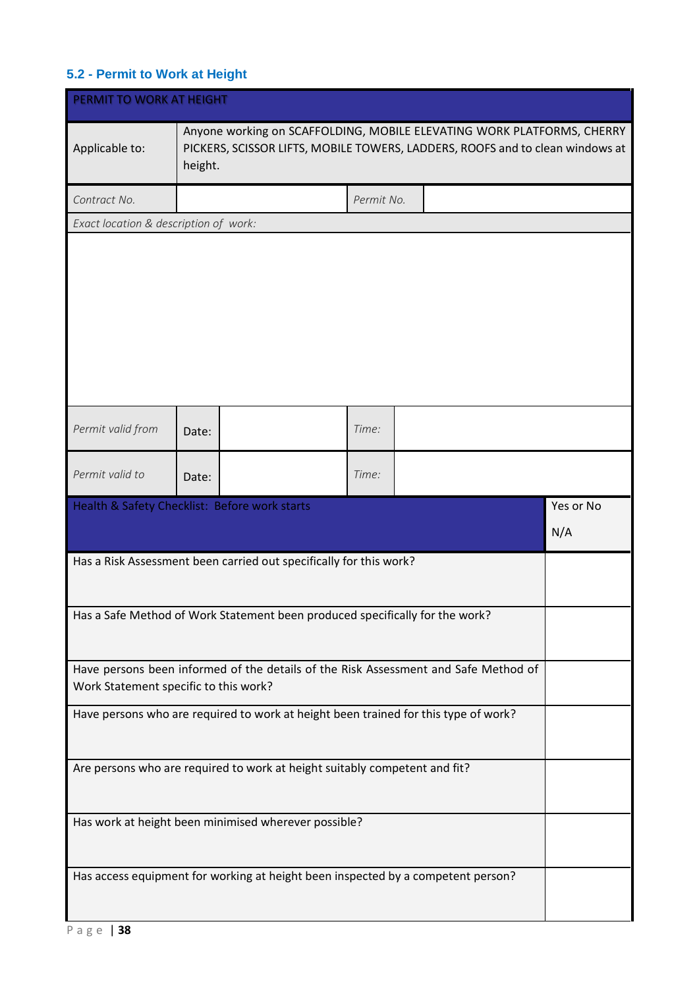# <span id="page-37-0"></span>**5.2 - Permit to Work at Height**

| PERMIT TO WORK AT HEIGHT                      |                                                                                  |                                                                                                                                                         |            |  |  |  |     |           |
|-----------------------------------------------|----------------------------------------------------------------------------------|---------------------------------------------------------------------------------------------------------------------------------------------------------|------------|--|--|--|-----|-----------|
| Applicable to:                                | height.                                                                          | Anyone working on SCAFFOLDING, MOBILE ELEVATING WORK PLATFORMS, CHERRY<br>PICKERS, SCISSOR LIFTS, MOBILE TOWERS, LADDERS, ROOFS and to clean windows at |            |  |  |  |     |           |
| Contract No.                                  |                                                                                  |                                                                                                                                                         | Permit No. |  |  |  |     |           |
| Exact location & description of work:         |                                                                                  |                                                                                                                                                         |            |  |  |  |     |           |
|                                               |                                                                                  |                                                                                                                                                         |            |  |  |  |     |           |
| Permit valid from                             | Date:                                                                            |                                                                                                                                                         | Time:      |  |  |  |     |           |
| Permit valid to                               | Date:                                                                            |                                                                                                                                                         | Time:      |  |  |  |     |           |
| Health & Safety Checklist: Before work starts |                                                                                  |                                                                                                                                                         |            |  |  |  | N/A | Yes or No |
|                                               |                                                                                  | Has a Risk Assessment been carried out specifically for this work?                                                                                      |            |  |  |  |     |           |
|                                               |                                                                                  | Has a Safe Method of Work Statement been produced specifically for the work?                                                                            |            |  |  |  |     |           |
| Work Statement specific to this work?         |                                                                                  | Have persons been informed of the details of the Risk Assessment and Safe Method of                                                                     |            |  |  |  |     |           |
|                                               |                                                                                  | Have persons who are required to work at height been trained for this type of work?                                                                     |            |  |  |  |     |           |
|                                               | Are persons who are required to work at height suitably competent and fit?       |                                                                                                                                                         |            |  |  |  |     |           |
|                                               |                                                                                  | Has work at height been minimised wherever possible?                                                                                                    |            |  |  |  |     |           |
|                                               | Has access equipment for working at height been inspected by a competent person? |                                                                                                                                                         |            |  |  |  |     |           |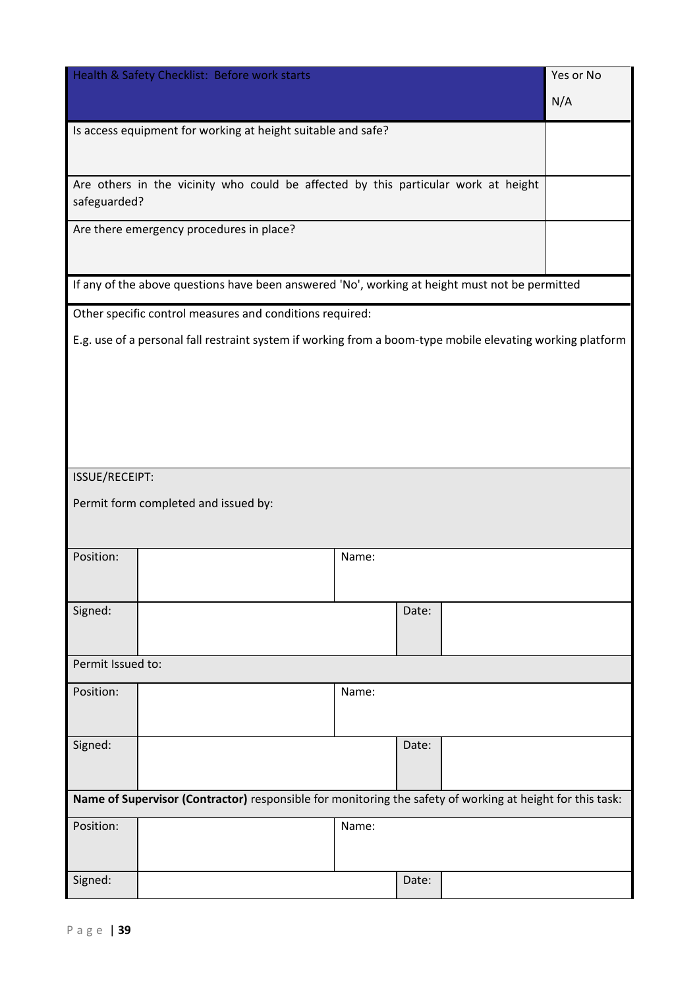|                   | Health & Safety Checklist: Before work starts                                                              |       |       |  | Yes or No |  |  |
|-------------------|------------------------------------------------------------------------------------------------------------|-------|-------|--|-----------|--|--|
|                   |                                                                                                            |       |       |  | N/A       |  |  |
|                   | Is access equipment for working at height suitable and safe?                                               |       |       |  |           |  |  |
|                   |                                                                                                            |       |       |  |           |  |  |
| safeguarded?      | Are others in the vicinity who could be affected by this particular work at height                         |       |       |  |           |  |  |
|                   | Are there emergency procedures in place?                                                                   |       |       |  |           |  |  |
|                   | If any of the above questions have been answered 'No', working at height must not be permitted             |       |       |  |           |  |  |
|                   | Other specific control measures and conditions required:                                                   |       |       |  |           |  |  |
|                   | E.g. use of a personal fall restraint system if working from a boom-type mobile elevating working platform |       |       |  |           |  |  |
|                   |                                                                                                            |       |       |  |           |  |  |
|                   |                                                                                                            |       |       |  |           |  |  |
|                   |                                                                                                            |       |       |  |           |  |  |
|                   |                                                                                                            |       |       |  |           |  |  |
|                   |                                                                                                            |       |       |  |           |  |  |
| ISSUE/RECEIPT:    |                                                                                                            |       |       |  |           |  |  |
|                   | Permit form completed and issued by:                                                                       |       |       |  |           |  |  |
|                   |                                                                                                            |       |       |  |           |  |  |
| Position:         |                                                                                                            | Name: |       |  |           |  |  |
|                   |                                                                                                            |       |       |  |           |  |  |
| Signed:           |                                                                                                            |       | Date: |  |           |  |  |
|                   |                                                                                                            |       |       |  |           |  |  |
| Permit Issued to: |                                                                                                            |       |       |  |           |  |  |
| Position:         |                                                                                                            | Name: |       |  |           |  |  |
|                   |                                                                                                            |       |       |  |           |  |  |
|                   |                                                                                                            |       |       |  |           |  |  |
| Signed:           |                                                                                                            |       | Date: |  |           |  |  |
|                   |                                                                                                            |       |       |  |           |  |  |
|                   | Name of Supervisor (Contractor) responsible for monitoring the safety of working at height for this task:  |       |       |  |           |  |  |
| Position:         |                                                                                                            | Name: |       |  |           |  |  |
|                   |                                                                                                            |       |       |  |           |  |  |
| Signed:           |                                                                                                            |       | Date: |  |           |  |  |
|                   |                                                                                                            |       |       |  |           |  |  |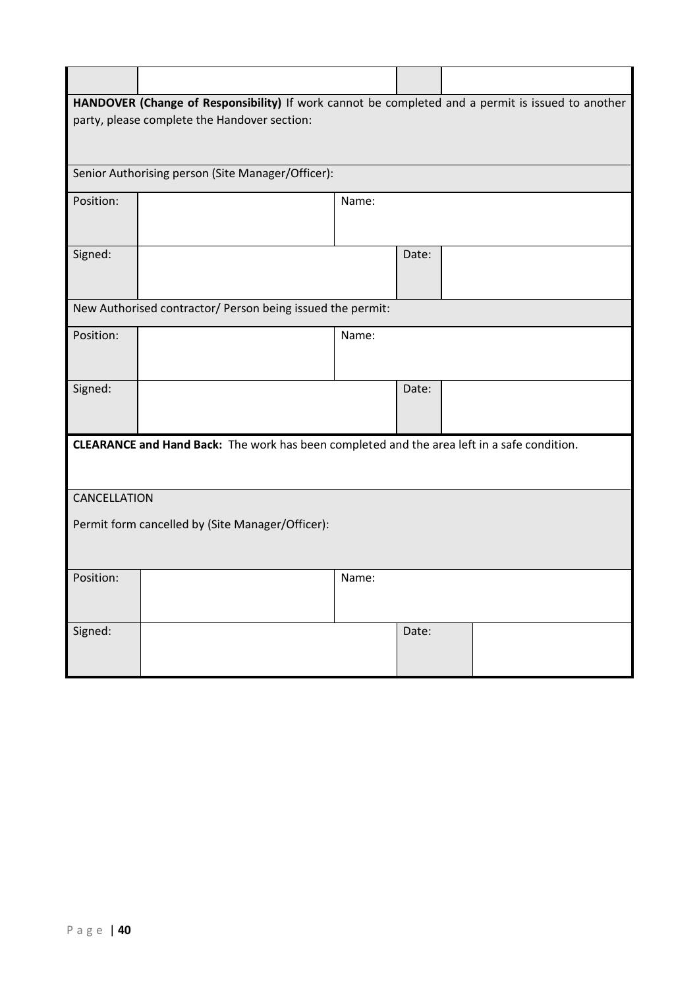|              | HANDOVER (Change of Responsibility) If work cannot be completed and a permit is issued to another |       |       |  |  |  |  |  |
|--------------|---------------------------------------------------------------------------------------------------|-------|-------|--|--|--|--|--|
|              | party, please complete the Handover section:                                                      |       |       |  |  |  |  |  |
|              |                                                                                                   |       |       |  |  |  |  |  |
|              |                                                                                                   |       |       |  |  |  |  |  |
|              | Senior Authorising person (Site Manager/Officer):                                                 |       |       |  |  |  |  |  |
| Position:    |                                                                                                   | Name: |       |  |  |  |  |  |
|              |                                                                                                   |       |       |  |  |  |  |  |
|              |                                                                                                   |       |       |  |  |  |  |  |
| Signed:      |                                                                                                   |       | Date: |  |  |  |  |  |
|              |                                                                                                   |       |       |  |  |  |  |  |
|              |                                                                                                   |       |       |  |  |  |  |  |
|              | New Authorised contractor/ Person being issued the permit:                                        |       |       |  |  |  |  |  |
| Position:    |                                                                                                   | Name: |       |  |  |  |  |  |
|              |                                                                                                   |       |       |  |  |  |  |  |
|              |                                                                                                   |       |       |  |  |  |  |  |
| Signed:      |                                                                                                   |       | Date: |  |  |  |  |  |
|              |                                                                                                   |       |       |  |  |  |  |  |
|              |                                                                                                   |       |       |  |  |  |  |  |
|              | CLEARANCE and Hand Back: The work has been completed and the area left in a safe condition.       |       |       |  |  |  |  |  |
|              |                                                                                                   |       |       |  |  |  |  |  |
|              |                                                                                                   |       |       |  |  |  |  |  |
| CANCELLATION |                                                                                                   |       |       |  |  |  |  |  |
|              | Permit form cancelled by (Site Manager/Officer):                                                  |       |       |  |  |  |  |  |
|              |                                                                                                   |       |       |  |  |  |  |  |
|              |                                                                                                   |       |       |  |  |  |  |  |
| Position:    |                                                                                                   | Name: |       |  |  |  |  |  |
|              |                                                                                                   |       |       |  |  |  |  |  |
|              |                                                                                                   |       |       |  |  |  |  |  |
| Signed:      |                                                                                                   |       | Date: |  |  |  |  |  |
|              |                                                                                                   |       |       |  |  |  |  |  |
|              |                                                                                                   |       |       |  |  |  |  |  |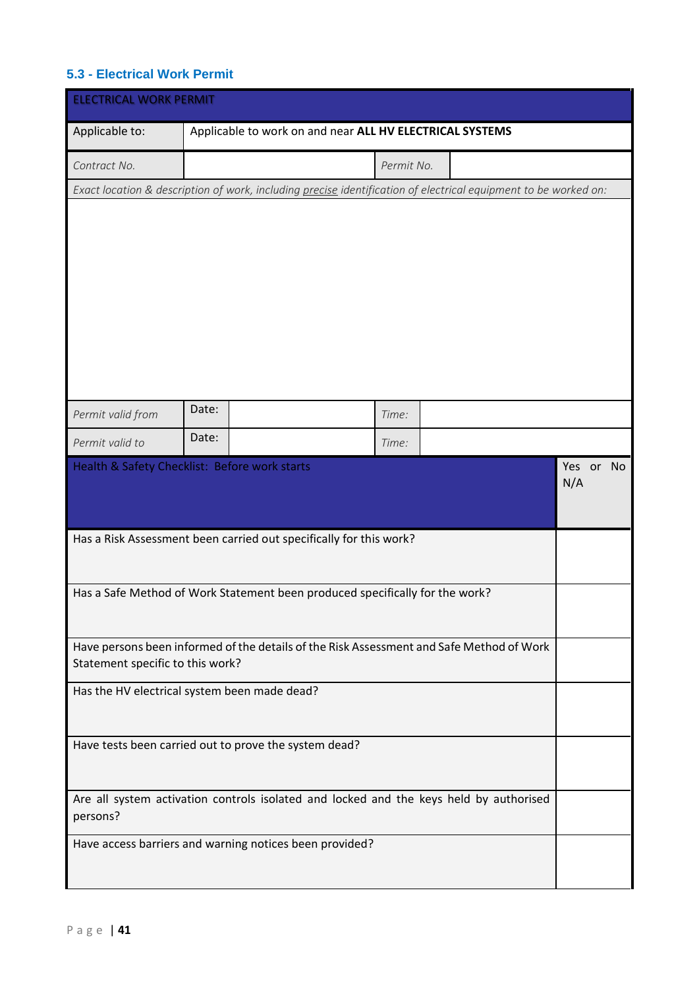# <span id="page-40-0"></span>**5.3 - Electrical Work Permit**

| <b>ELECTRICAL WORK PERMIT</b>                                                                                   |                                                                                          |            |                  |  |  |  |
|-----------------------------------------------------------------------------------------------------------------|------------------------------------------------------------------------------------------|------------|------------------|--|--|--|
| Applicable to:                                                                                                  | Applicable to work on and near ALL HV ELECTRICAL SYSTEMS                                 |            |                  |  |  |  |
| Contract No.                                                                                                    |                                                                                          | Permit No. |                  |  |  |  |
| Exact location & description of work, including precise identification of electrical equipment to be worked on: |                                                                                          |            |                  |  |  |  |
|                                                                                                                 |                                                                                          |            |                  |  |  |  |
|                                                                                                                 |                                                                                          |            |                  |  |  |  |
| Permit valid from                                                                                               | Date:                                                                                    | Time:      |                  |  |  |  |
| Permit valid to                                                                                                 | Date:                                                                                    | Time:      |                  |  |  |  |
|                                                                                                                 | Health & Safety Checklist: Before work starts                                            |            | Yes or No<br>N/A |  |  |  |
|                                                                                                                 | Has a Risk Assessment been carried out specifically for this work?                       |            |                  |  |  |  |
|                                                                                                                 | Has a Safe Method of Work Statement been produced specifically for the work?             |            |                  |  |  |  |
| Statement specific to this work?                                                                                | Have persons been informed of the details of the Risk Assessment and Safe Method of Work |            |                  |  |  |  |
|                                                                                                                 | Has the HV electrical system been made dead?                                             |            |                  |  |  |  |
|                                                                                                                 | Have tests been carried out to prove the system dead?                                    |            |                  |  |  |  |
| persons?                                                                                                        | Are all system activation controls isolated and locked and the keys held by authorised   |            |                  |  |  |  |
|                                                                                                                 | Have access barriers and warning notices been provided?                                  |            |                  |  |  |  |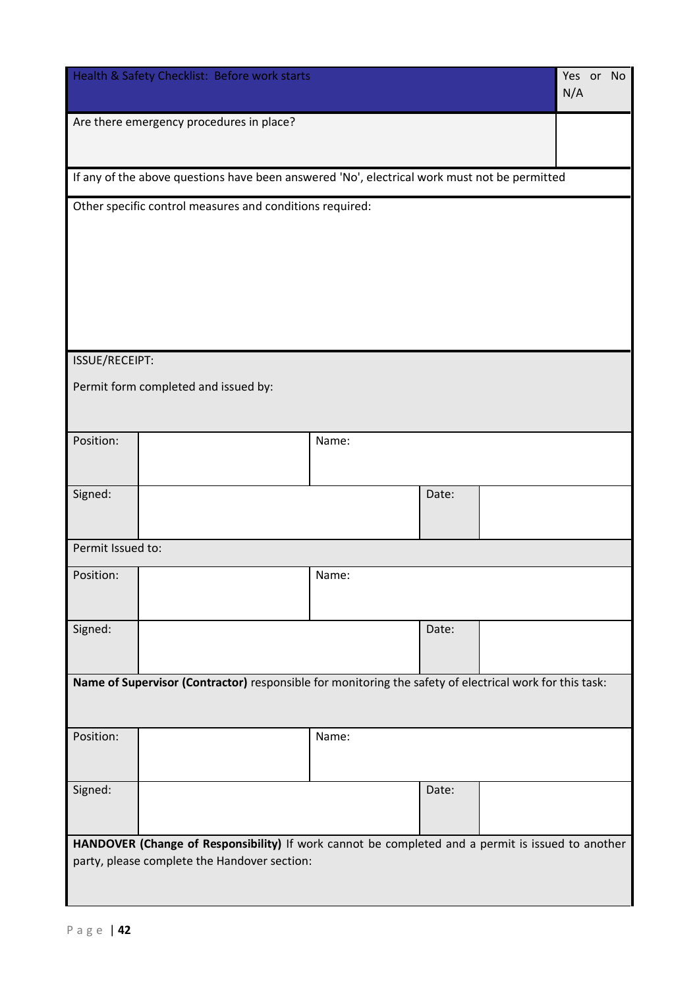|                                                                                                                                                   | Health & Safety Checklist: Before work starts                                                           |       |       |  | Yes or No<br>N/A |  |
|---------------------------------------------------------------------------------------------------------------------------------------------------|---------------------------------------------------------------------------------------------------------|-------|-------|--|------------------|--|
|                                                                                                                                                   | Are there emergency procedures in place?                                                                |       |       |  |                  |  |
|                                                                                                                                                   | If any of the above questions have been answered 'No', electrical work must not be permitted            |       |       |  |                  |  |
|                                                                                                                                                   | Other specific control measures and conditions required:                                                |       |       |  |                  |  |
|                                                                                                                                                   |                                                                                                         |       |       |  |                  |  |
|                                                                                                                                                   |                                                                                                         |       |       |  |                  |  |
|                                                                                                                                                   |                                                                                                         |       |       |  |                  |  |
|                                                                                                                                                   |                                                                                                         |       |       |  |                  |  |
| ISSUE/RECEIPT:                                                                                                                                    |                                                                                                         |       |       |  |                  |  |
|                                                                                                                                                   | Permit form completed and issued by:                                                                    |       |       |  |                  |  |
|                                                                                                                                                   |                                                                                                         |       |       |  |                  |  |
| Position:                                                                                                                                         |                                                                                                         | Name: |       |  |                  |  |
|                                                                                                                                                   |                                                                                                         |       |       |  |                  |  |
| Signed:                                                                                                                                           |                                                                                                         |       | Date: |  |                  |  |
| Permit Issued to:                                                                                                                                 |                                                                                                         |       |       |  |                  |  |
| Position:                                                                                                                                         |                                                                                                         | Name: |       |  |                  |  |
|                                                                                                                                                   |                                                                                                         |       |       |  |                  |  |
| Signed:                                                                                                                                           |                                                                                                         |       | Date: |  |                  |  |
|                                                                                                                                                   | Name of Supervisor (Contractor) responsible for monitoring the safety of electrical work for this task: |       |       |  |                  |  |
|                                                                                                                                                   |                                                                                                         |       |       |  |                  |  |
| Position:                                                                                                                                         |                                                                                                         | Name: |       |  |                  |  |
|                                                                                                                                                   |                                                                                                         |       |       |  |                  |  |
| Signed:                                                                                                                                           |                                                                                                         |       | Date: |  |                  |  |
|                                                                                                                                                   |                                                                                                         |       |       |  |                  |  |
| HANDOVER (Change of Responsibility) If work cannot be completed and a permit is issued to another<br>party, please complete the Handover section: |                                                                                                         |       |       |  |                  |  |
|                                                                                                                                                   |                                                                                                         |       |       |  |                  |  |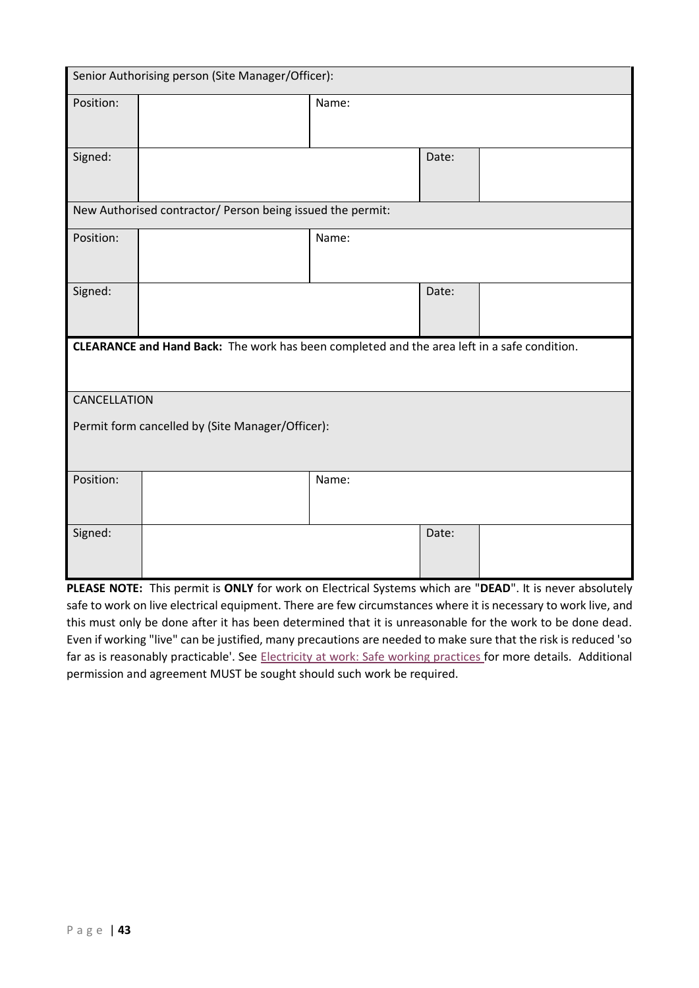|                                                            | Senior Authorising person (Site Manager/Officer):                                           |       |       |  |  |  |  |
|------------------------------------------------------------|---------------------------------------------------------------------------------------------|-------|-------|--|--|--|--|
| Position:                                                  |                                                                                             | Name: |       |  |  |  |  |
| Signed:                                                    |                                                                                             |       | Date: |  |  |  |  |
| New Authorised contractor/ Person being issued the permit: |                                                                                             |       |       |  |  |  |  |
| Position:                                                  |                                                                                             | Name: |       |  |  |  |  |
| Signed:                                                    |                                                                                             |       | Date: |  |  |  |  |
|                                                            | CLEARANCE and Hand Back: The work has been completed and the area left in a safe condition. |       |       |  |  |  |  |
| CANCELLATION                                               |                                                                                             |       |       |  |  |  |  |
|                                                            | Permit form cancelled by (Site Manager/Officer):                                            |       |       |  |  |  |  |
| Position:                                                  |                                                                                             | Name: |       |  |  |  |  |
| Signed:                                                    |                                                                                             |       | Date: |  |  |  |  |

**PLEASE NOTE:** This permit is **ONLY** for work on Electrical Systems which are "**DEAD**". It is never absolutely safe to work on live electrical equipment. There are few circumstances where it is necessary to work live, and this must only be done after it has been determined that it is unreasonable for the work to be done dead. Even if working "live" can be justified, many precautions are needed to make sure that the risk is reduced 'so far as is reasonably practicable'. See [Electricity at work: Safe working practices](http://www.hse.gov.uk/pubns/books/hsg85.htm) for more details. Additional permission and agreement MUST be sought should such work be required.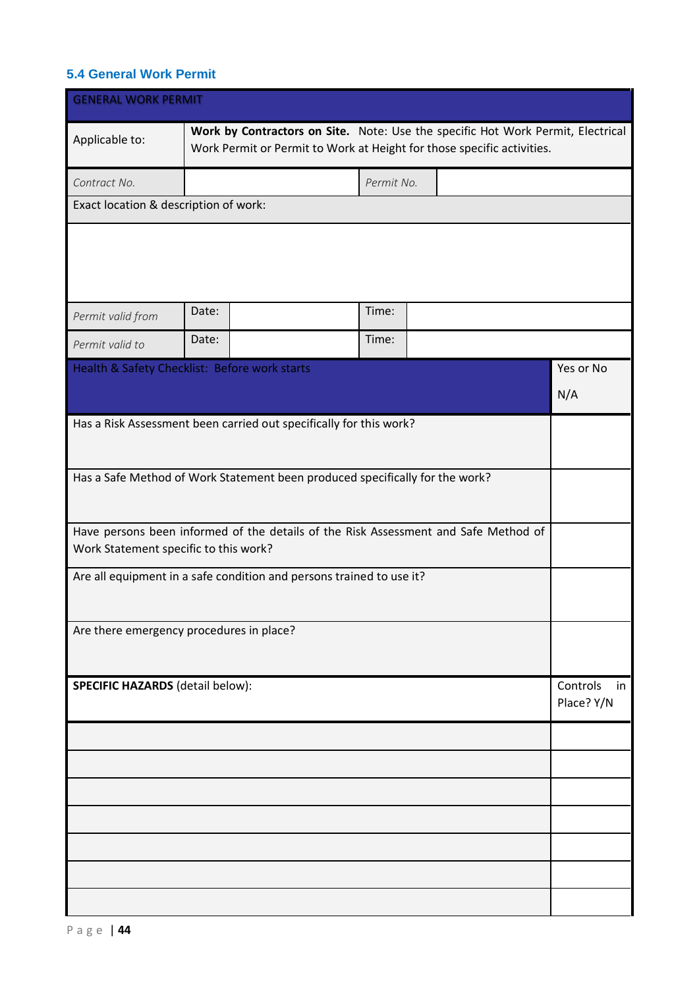## <span id="page-43-0"></span>**5.4 General Work Permit**

| <b>GENERAL WORK PERMIT</b>                                                                                                   |       |                                                                                                                                                           |            |  |  |  |                        |     |
|------------------------------------------------------------------------------------------------------------------------------|-------|-----------------------------------------------------------------------------------------------------------------------------------------------------------|------------|--|--|--|------------------------|-----|
| Applicable to:                                                                                                               |       | Work by Contractors on Site. Note: Use the specific Hot Work Permit, Electrical<br>Work Permit or Permit to Work at Height for those specific activities. |            |  |  |  |                        |     |
| Contract No.                                                                                                                 |       |                                                                                                                                                           | Permit No. |  |  |  |                        |     |
| Exact location & description of work:                                                                                        |       |                                                                                                                                                           |            |  |  |  |                        |     |
|                                                                                                                              |       |                                                                                                                                                           |            |  |  |  |                        |     |
| Permit valid from                                                                                                            | Date: |                                                                                                                                                           | Time:      |  |  |  |                        |     |
| Permit valid to                                                                                                              | Date: |                                                                                                                                                           | Time:      |  |  |  |                        |     |
| Health & Safety Checklist: Before work starts                                                                                |       |                                                                                                                                                           |            |  |  |  | Yes or No<br>N/A       |     |
| Has a Risk Assessment been carried out specifically for this work?                                                           |       |                                                                                                                                                           |            |  |  |  |                        |     |
| Has a Safe Method of Work Statement been produced specifically for the work?                                                 |       |                                                                                                                                                           |            |  |  |  |                        |     |
| Have persons been informed of the details of the Risk Assessment and Safe Method of<br>Work Statement specific to this work? |       |                                                                                                                                                           |            |  |  |  |                        |     |
| Are all equipment in a safe condition and persons trained to use it?                                                         |       |                                                                                                                                                           |            |  |  |  |                        |     |
| Are there emergency procedures in place?                                                                                     |       |                                                                                                                                                           |            |  |  |  |                        |     |
| <b>SPECIFIC HAZARDS</b> (detail below):                                                                                      |       |                                                                                                                                                           |            |  |  |  | Controls<br>Place? Y/N | in. |
|                                                                                                                              |       |                                                                                                                                                           |            |  |  |  |                        |     |
|                                                                                                                              |       |                                                                                                                                                           |            |  |  |  |                        |     |
|                                                                                                                              |       |                                                                                                                                                           |            |  |  |  |                        |     |
|                                                                                                                              |       |                                                                                                                                                           |            |  |  |  |                        |     |
|                                                                                                                              |       |                                                                                                                                                           |            |  |  |  |                        |     |
|                                                                                                                              |       |                                                                                                                                                           |            |  |  |  |                        |     |
|                                                                                                                              |       |                                                                                                                                                           |            |  |  |  |                        |     |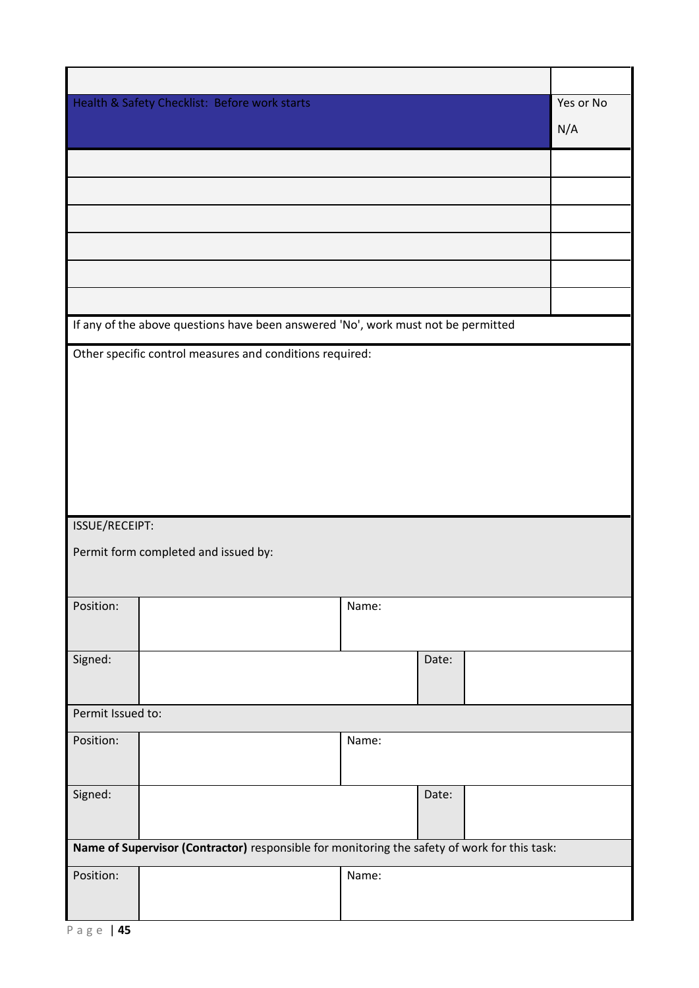|                   | Health & Safety Checklist: Before work starts                                                |       |       |  | Yes or No |  |  |
|-------------------|----------------------------------------------------------------------------------------------|-------|-------|--|-----------|--|--|
|                   |                                                                                              |       |       |  | N/A       |  |  |
|                   |                                                                                              |       |       |  |           |  |  |
|                   |                                                                                              |       |       |  |           |  |  |
|                   |                                                                                              |       |       |  |           |  |  |
|                   |                                                                                              |       |       |  |           |  |  |
|                   |                                                                                              |       |       |  |           |  |  |
|                   |                                                                                              |       |       |  |           |  |  |
|                   | If any of the above questions have been answered 'No', work must not be permitted            |       |       |  |           |  |  |
|                   | Other specific control measures and conditions required:                                     |       |       |  |           |  |  |
|                   |                                                                                              |       |       |  |           |  |  |
|                   |                                                                                              |       |       |  |           |  |  |
|                   |                                                                                              |       |       |  |           |  |  |
|                   |                                                                                              |       |       |  |           |  |  |
|                   |                                                                                              |       |       |  |           |  |  |
|                   |                                                                                              |       |       |  |           |  |  |
|                   |                                                                                              |       |       |  |           |  |  |
| ISSUE/RECEIPT:    |                                                                                              |       |       |  |           |  |  |
|                   | Permit form completed and issued by:                                                         |       |       |  |           |  |  |
|                   |                                                                                              |       |       |  |           |  |  |
| Position:         |                                                                                              | Name: |       |  |           |  |  |
|                   |                                                                                              |       |       |  |           |  |  |
| Signed:           |                                                                                              |       | Date: |  |           |  |  |
|                   |                                                                                              |       |       |  |           |  |  |
| Permit Issued to: |                                                                                              |       |       |  |           |  |  |
| Position:         |                                                                                              | Name: |       |  |           |  |  |
|                   |                                                                                              |       |       |  |           |  |  |
| Signed:           |                                                                                              |       | Date: |  |           |  |  |
|                   |                                                                                              |       |       |  |           |  |  |
|                   | Name of Supervisor (Contractor) responsible for monitoring the safety of work for this task: |       |       |  |           |  |  |
| Position:         |                                                                                              | Name: |       |  |           |  |  |
|                   |                                                                                              |       |       |  |           |  |  |
|                   |                                                                                              |       |       |  |           |  |  |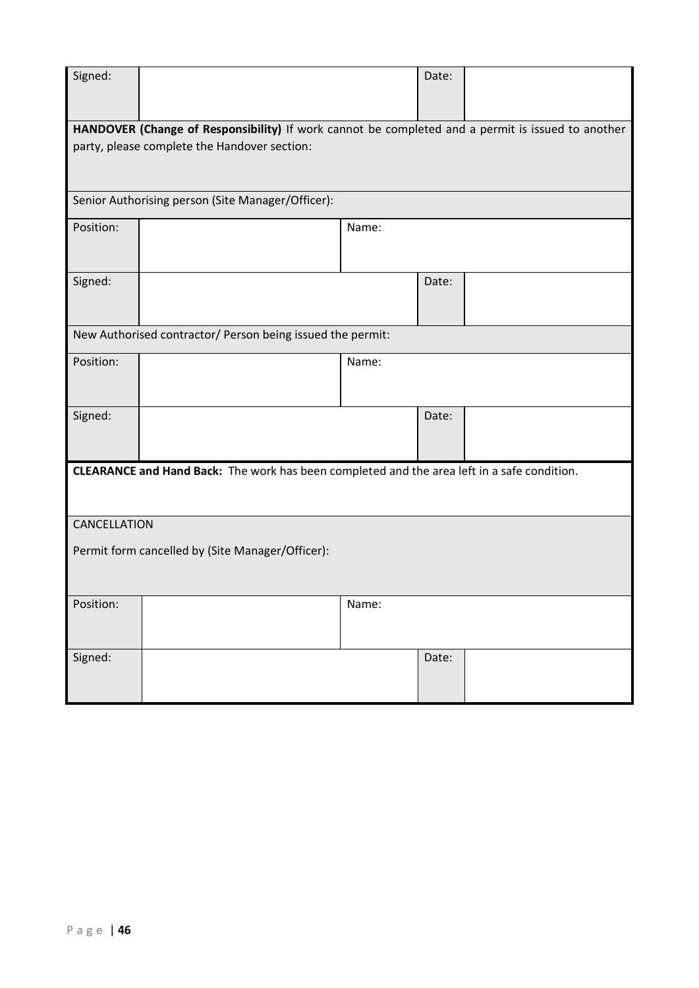| Signed:                                          |                                                                                                                                                   |       | Date: |  |  |  |  |
|--------------------------------------------------|---------------------------------------------------------------------------------------------------------------------------------------------------|-------|-------|--|--|--|--|
|                                                  | HANDOVER (Change of Responsibility) If work cannot be completed and a permit is issued to another<br>party, please complete the Handover section: |       |       |  |  |  |  |
|                                                  | Senior Authorising person (Site Manager/Officer):                                                                                                 |       |       |  |  |  |  |
| Position:                                        |                                                                                                                                                   | Name: |       |  |  |  |  |
| Signed:                                          |                                                                                                                                                   |       | Date: |  |  |  |  |
|                                                  | New Authorised contractor/ Person being issued the permit:                                                                                        |       |       |  |  |  |  |
| Position:                                        |                                                                                                                                                   | Name: |       |  |  |  |  |
| Signed:                                          |                                                                                                                                                   |       | Date: |  |  |  |  |
|                                                  | CLEARANCE and Hand Back: The work has been completed and the area left in a safe condition.                                                       |       |       |  |  |  |  |
| CANCELLATION                                     |                                                                                                                                                   |       |       |  |  |  |  |
| Permit form cancelled by (Site Manager/Officer): |                                                                                                                                                   |       |       |  |  |  |  |
| Position:                                        |                                                                                                                                                   | Name: |       |  |  |  |  |
| Signed:                                          |                                                                                                                                                   |       | Date: |  |  |  |  |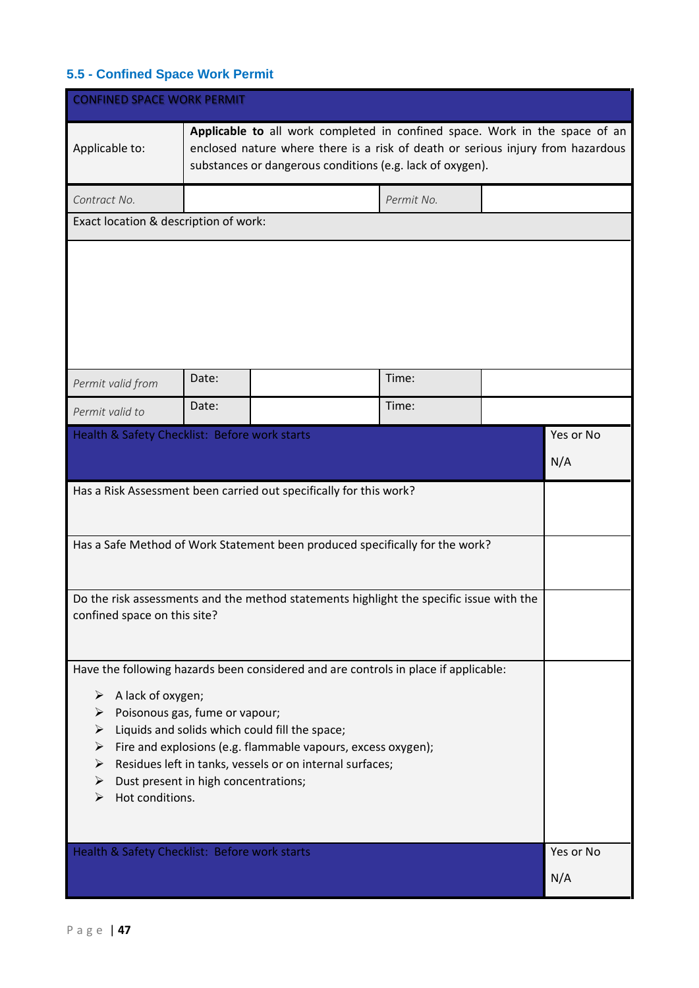# <span id="page-46-0"></span>**5.5 - Confined Space Work Permit**

| <b>CONFINED SPACE WORK PERMIT</b>                                                                                                                                                                                                                                                                                                                                                                                 |       |                                                                                                                                                                                                                             |            |  |                  |
|-------------------------------------------------------------------------------------------------------------------------------------------------------------------------------------------------------------------------------------------------------------------------------------------------------------------------------------------------------------------------------------------------------------------|-------|-----------------------------------------------------------------------------------------------------------------------------------------------------------------------------------------------------------------------------|------------|--|------------------|
| Applicable to:                                                                                                                                                                                                                                                                                                                                                                                                    |       | Applicable to all work completed in confined space. Work in the space of an<br>enclosed nature where there is a risk of death or serious injury from hazardous<br>substances or dangerous conditions (e.g. lack of oxygen). |            |  |                  |
| Contract No.                                                                                                                                                                                                                                                                                                                                                                                                      |       |                                                                                                                                                                                                                             | Permit No. |  |                  |
| Exact location & description of work:                                                                                                                                                                                                                                                                                                                                                                             |       |                                                                                                                                                                                                                             |            |  |                  |
|                                                                                                                                                                                                                                                                                                                                                                                                                   |       |                                                                                                                                                                                                                             |            |  |                  |
| Permit valid from                                                                                                                                                                                                                                                                                                                                                                                                 | Date: |                                                                                                                                                                                                                             | Time:      |  |                  |
| Permit valid to                                                                                                                                                                                                                                                                                                                                                                                                   | Date: |                                                                                                                                                                                                                             | Time:      |  |                  |
| Health & Safety Checklist: Before work starts                                                                                                                                                                                                                                                                                                                                                                     |       |                                                                                                                                                                                                                             |            |  | Yes or No        |
|                                                                                                                                                                                                                                                                                                                                                                                                                   |       |                                                                                                                                                                                                                             |            |  | N/A              |
|                                                                                                                                                                                                                                                                                                                                                                                                                   |       | Has a Risk Assessment been carried out specifically for this work?<br>Has a Safe Method of Work Statement been produced specifically for the work?                                                                          |            |  |                  |
|                                                                                                                                                                                                                                                                                                                                                                                                                   |       |                                                                                                                                                                                                                             |            |  |                  |
| confined space on this site?                                                                                                                                                                                                                                                                                                                                                                                      |       | Do the risk assessments and the method statements highlight the specific issue with the                                                                                                                                     |            |  |                  |
| Have the following hazards been considered and are controls in place if applicable:<br>A lack of oxygen;<br>➤<br>Poisonous gas, fume or vapour;<br>➤<br>Liquids and solids which could fill the space;<br>Fire and explosions (e.g. flammable vapours, excess oxygen);<br>➤<br>Residues left in tanks, vessels or on internal surfaces;<br>➤<br>Dust present in high concentrations;<br>➤<br>Hot conditions.<br>⋗ |       |                                                                                                                                                                                                                             |            |  |                  |
| Health & Safety Checklist: Before work starts                                                                                                                                                                                                                                                                                                                                                                     |       |                                                                                                                                                                                                                             |            |  | Yes or No<br>N/A |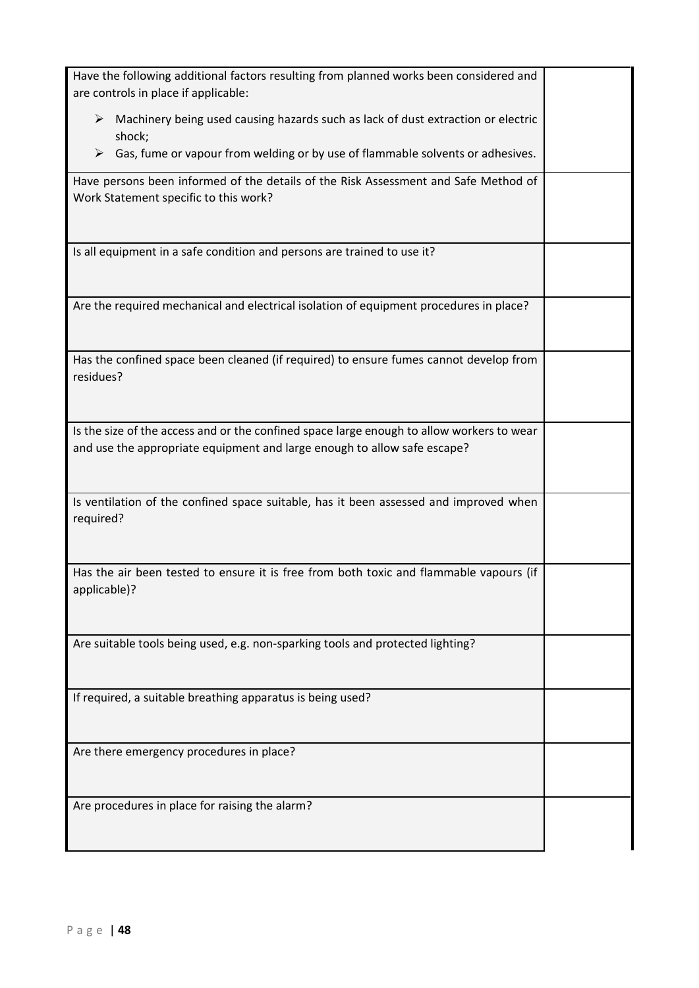| Have the following additional factors resulting from planned works been considered and<br>are controls in place if applicable:                                        |  |
|-----------------------------------------------------------------------------------------------------------------------------------------------------------------------|--|
| $\triangleright$ Machinery being used causing hazards such as lack of dust extraction or electric<br>shock;                                                           |  |
| Gas, fume or vapour from welding or by use of flammable solvents or adhesives.<br>➤                                                                                   |  |
| Have persons been informed of the details of the Risk Assessment and Safe Method of<br>Work Statement specific to this work?                                          |  |
| Is all equipment in a safe condition and persons are trained to use it?                                                                                               |  |
| Are the required mechanical and electrical isolation of equipment procedures in place?                                                                                |  |
| Has the confined space been cleaned (if required) to ensure fumes cannot develop from<br>residues?                                                                    |  |
| Is the size of the access and or the confined space large enough to allow workers to wear<br>and use the appropriate equipment and large enough to allow safe escape? |  |
| Is ventilation of the confined space suitable, has it been assessed and improved when<br>required?                                                                    |  |
| Has the air been tested to ensure it is free from both toxic and flammable vapours (if<br>applicable)?                                                                |  |
| Are suitable tools being used, e.g. non-sparking tools and protected lighting?                                                                                        |  |
| If required, a suitable breathing apparatus is being used?                                                                                                            |  |
| Are there emergency procedures in place?                                                                                                                              |  |
| Are procedures in place for raising the alarm?                                                                                                                        |  |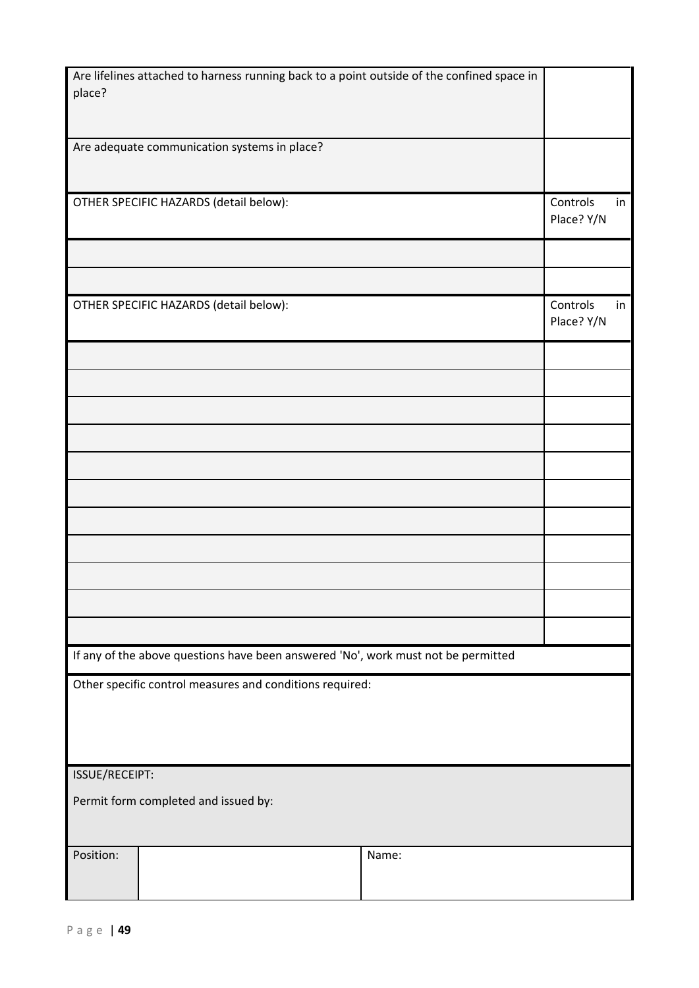| Are lifelines attached to harness running back to a point outside of the confined space in |       |                              |
|--------------------------------------------------------------------------------------------|-------|------------------------------|
| place?                                                                                     |       |                              |
|                                                                                            |       |                              |
| Are adequate communication systems in place?                                               |       |                              |
|                                                                                            |       |                              |
| OTHER SPECIFIC HAZARDS (detail below):                                                     |       | Controls<br>in<br>Place? Y/N |
|                                                                                            |       |                              |
|                                                                                            |       |                              |
| OTHER SPECIFIC HAZARDS (detail below):                                                     |       | Controls<br>in               |
|                                                                                            |       | Place? Y/N                   |
|                                                                                            |       |                              |
|                                                                                            |       |                              |
|                                                                                            |       |                              |
|                                                                                            |       |                              |
|                                                                                            |       |                              |
|                                                                                            |       |                              |
|                                                                                            |       |                              |
|                                                                                            |       |                              |
|                                                                                            |       |                              |
|                                                                                            |       |                              |
|                                                                                            |       |                              |
| If any of the above questions have been answered 'No', work must not be permitted          |       |                              |
| Other specific control measures and conditions required:                                   |       |                              |
|                                                                                            |       |                              |
|                                                                                            |       |                              |
| ISSUE/RECEIPT:                                                                             |       |                              |
| Permit form completed and issued by:                                                       |       |                              |
|                                                                                            |       |                              |
| Position:                                                                                  | Name: |                              |
|                                                                                            |       |                              |
|                                                                                            |       |                              |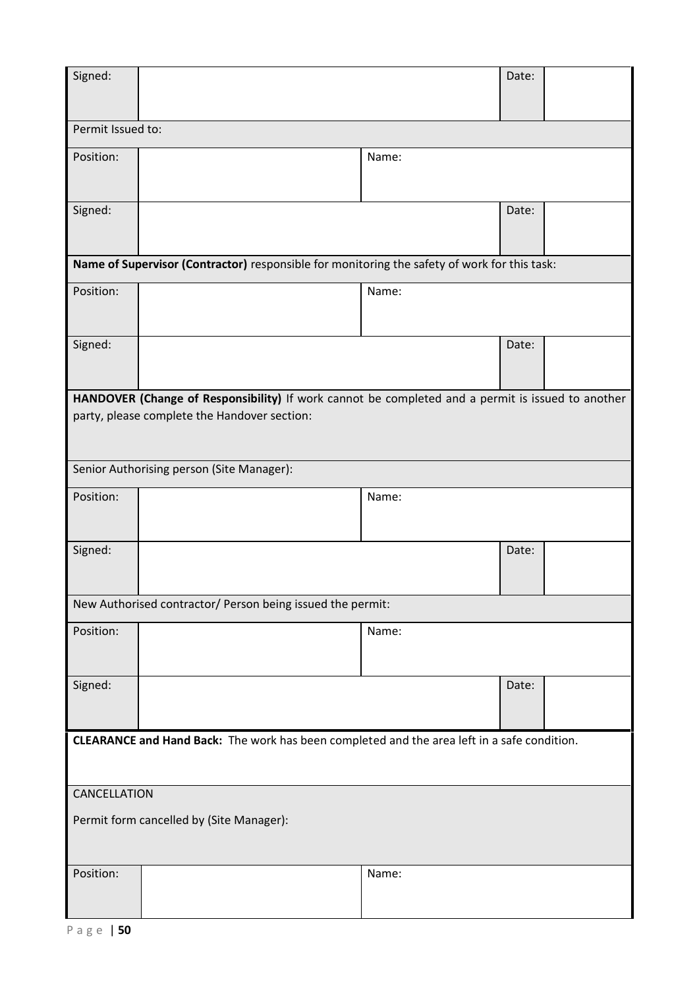| Signed:                                                                                                                                           |  |       | Date: |  |  |  |
|---------------------------------------------------------------------------------------------------------------------------------------------------|--|-------|-------|--|--|--|
| Permit Issued to:                                                                                                                                 |  |       |       |  |  |  |
| Position:                                                                                                                                         |  | Name: |       |  |  |  |
| Signed:                                                                                                                                           |  |       | Date: |  |  |  |
| Name of Supervisor (Contractor) responsible for monitoring the safety of work for this task:                                                      |  |       |       |  |  |  |
| Position:                                                                                                                                         |  | Name: |       |  |  |  |
| Signed:                                                                                                                                           |  |       | Date: |  |  |  |
| HANDOVER (Change of Responsibility) If work cannot be completed and a permit is issued to another<br>party, please complete the Handover section: |  |       |       |  |  |  |
| Senior Authorising person (Site Manager):                                                                                                         |  |       |       |  |  |  |
| Position:                                                                                                                                         |  | Name: |       |  |  |  |
| Signed:                                                                                                                                           |  |       | Date: |  |  |  |
| New Authorised contractor/ Person being issued the permit:                                                                                        |  |       |       |  |  |  |
| Position:                                                                                                                                         |  | Name: |       |  |  |  |
| Signed:                                                                                                                                           |  |       | Date: |  |  |  |
| CLEARANCE and Hand Back: The work has been completed and the area left in a safe condition.                                                       |  |       |       |  |  |  |
| CANCELLATION<br>Permit form cancelled by (Site Manager):                                                                                          |  |       |       |  |  |  |
| Position:                                                                                                                                         |  | Name: |       |  |  |  |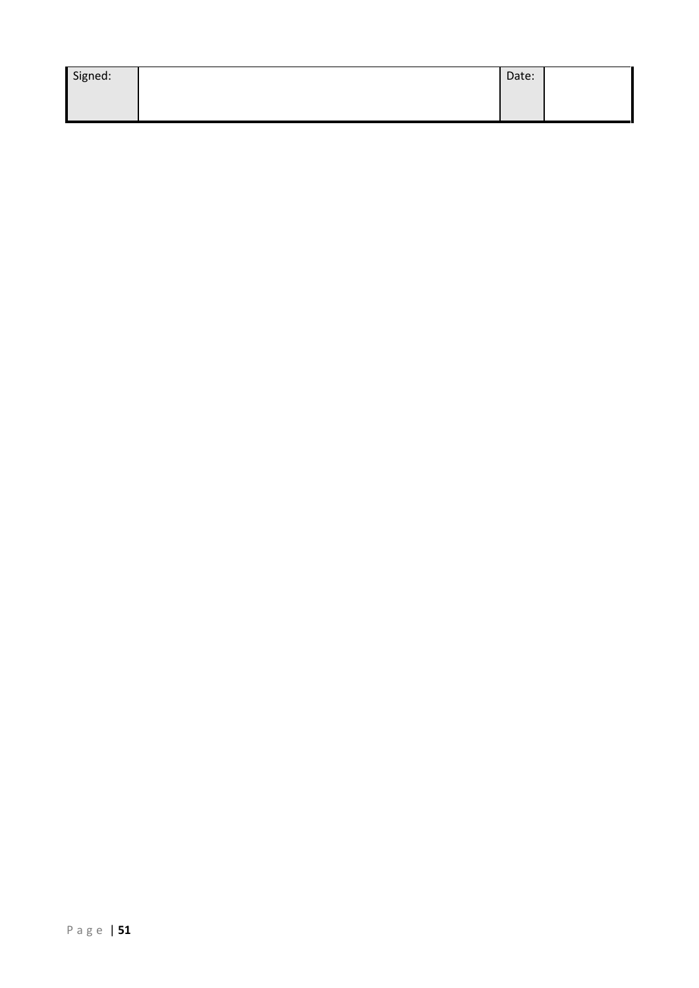| Signed: | Date: |  |
|---------|-------|--|
|         |       |  |